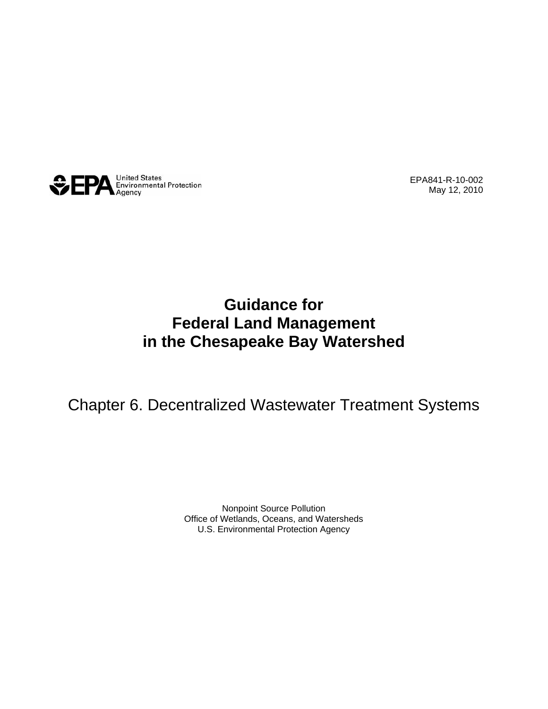

EPA841-R-10-002 May 12, 2010

#### **Guidance for Federal Land Management in the Chesapeake Bay Watershed**

# Chapter 6. Decentralized Wastewater Treatment Systems

Nonpoint Source Pollution Office of Wetlands, Oceans, and Watersheds U.S. Environmental Protection Agency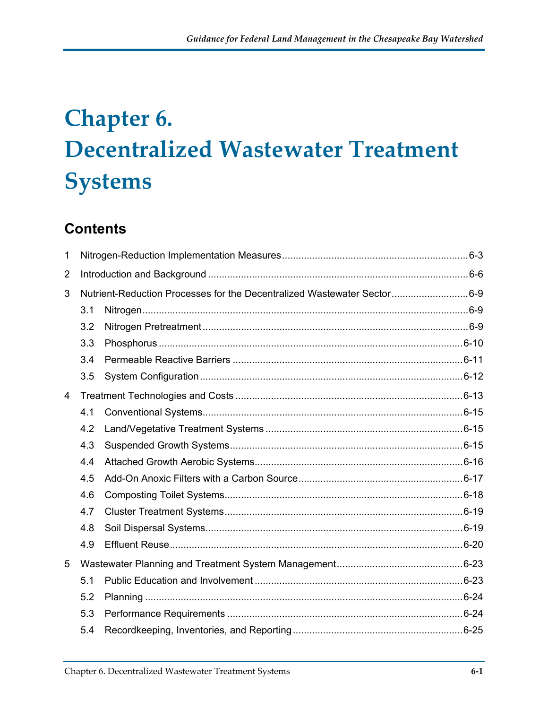# **Chapter 6. Decentralized Wastewater Treatment Systems**

#### **Contents**

| 1              |     |                                                                         |  |
|----------------|-----|-------------------------------------------------------------------------|--|
| $\overline{2}$ |     |                                                                         |  |
| 3              |     | Nutrient-Reduction Processes for the Decentralized Wastewater Sector6-9 |  |
|                | 3.1 |                                                                         |  |
|                | 3.2 |                                                                         |  |
|                | 3.3 |                                                                         |  |
|                | 3.4 |                                                                         |  |
|                | 3.5 |                                                                         |  |
| 4              |     |                                                                         |  |
|                | 4.1 |                                                                         |  |
|                | 4.2 |                                                                         |  |
|                | 4.3 |                                                                         |  |
|                | 4.4 |                                                                         |  |
|                | 4.5 |                                                                         |  |
|                | 4.6 |                                                                         |  |
|                | 4.7 |                                                                         |  |
|                | 4.8 |                                                                         |  |
|                | 4.9 |                                                                         |  |
| 5              |     |                                                                         |  |
|                | 5.1 |                                                                         |  |
|                | 5.2 |                                                                         |  |
|                | 5.3 |                                                                         |  |
|                | 5.4 |                                                                         |  |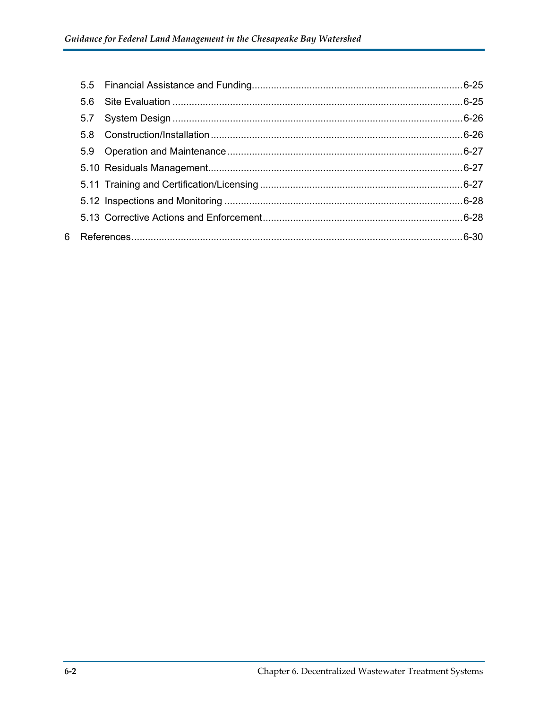| 5.6 |  |
|-----|--|
| 5.7 |  |
| 5.8 |  |
|     |  |
|     |  |
|     |  |
|     |  |
|     |  |
|     |  |

 $\,6\,$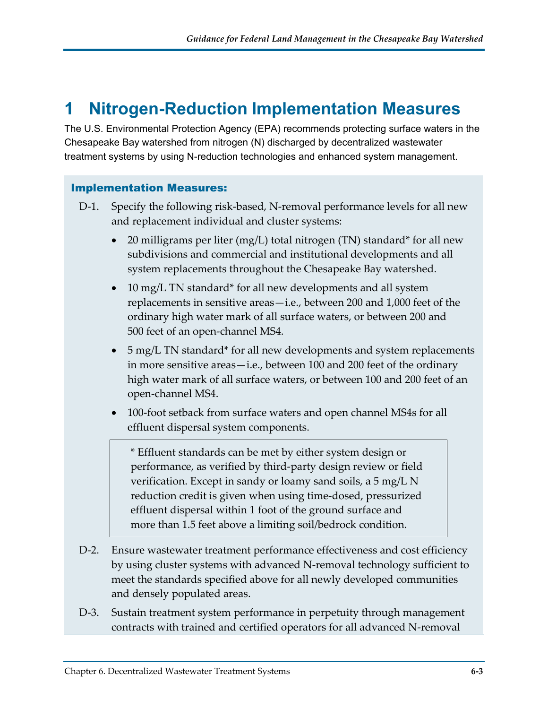# <span id="page-3-0"></span>**1 Nitrogen-Reduction Implementation Measures**

The U.S. Environmental Protection Agency (EPA) recommends protecting surface waters in the Chesapeake Bay watershed from nitrogen (N) discharged by decentralized wastewater treatment systems by using N-reduction technologies and enhanced system management.

#### Implementation Measures:

- D-1. Specify the following risk-based, N-removal performance levels for all new and replacement individual and cluster systems:
	- 20 milligrams per liter (mg/L) total nitrogen (TN) standard\* for all new subdivisions and commercial and institutional developments and all system replacements throughout the Chesapeake Bay watershed.
	- 10 mg/L TN standard\* for all new developments and all system replacements in sensitive areas—i.e., between 200 and 1,000 feet of the ordinary high water mark of all surface waters, or between 200 and 500 feet of an open-channel MS4.
	- 5 mg/L TN standard\* for all new developments and system replacements in more sensitive areas—i.e., between 100 and 200 feet of the ordinary high water mark of all surface waters, or between 100 and 200 feet of an open‐channel MS4.
	- 100-foot setback from surface waters and open channel MS4s for all effluent dispersal system components.

\* Effluent standards can be met by either system design or performance, as verified by third‐party design review or field verification. Except in sandy or loamy sand soils, a 5 mg/L N reduction credit is given when using time‐dosed, pressurized effluent dispersal within 1 foot of the ground surface and more than 1.5 feet above a limiting soil/bedrock condition.

- D-2. Ensure wastewater treatment performance effectiveness and cost efficiency by using cluster systems with advanced N‐removal technology sufficient to meet the standards specified above for all newly developed communities and densely populated areas.
- D-3. Sustain treatment system performance in perpetuity through management contracts with trained and certified operators for all advanced N‐removal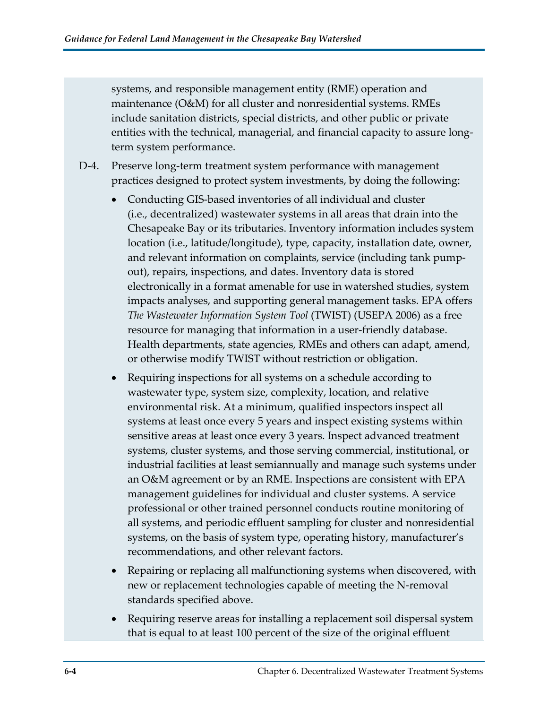systems, and responsible management entity (RME) operation and maintenance (O&M) for all cluster and nonresidential systems. RMEs include sanitation districts, special districts, and other public or private entities with the technical, managerial, and financial capacity to assure long‐ term system performance.

- D-4. Preserve long-term treatment system performance with management practices designed to protect system investments, by doing the following:
	- Conducting GIS-based inventories of all individual and cluster (i.e., decentralized) wastewater systems in all areas that drain into the Chesapeake Bay or its tributaries. Inventory information includes system location (i.e., latitude/longitude), type, capacity, installation date, owner, and relevant information on complaints, service (including tank pump‐ out), repairs, inspections, and dates. Inventory data is stored electronically in a format amenable for use in watershed studies, system impacts analyses, and supporting general management tasks. EPA offers *The Wastewater Information System Tool* (TWIST) (USEPA 2006) as a free resource for managing that information in a user-friendly database. Health departments, state agencies, RMEs and others can adapt, amend, or otherwise modify TWIST without restriction or obligation.
	- Requiring inspections for all systems on a schedule according to wastewater type, system size, complexity, location, and relative environmental risk. At a minimum, qualified inspectors inspect all systems at least once every 5 years and inspect existing systems within sensitive areas at least once every 3 years. Inspect advanced treatment systems, cluster systems, and those serving commercial, institutional, or industrial facilities at least semiannually and manage such systems under an O&M agreement or by an RME. Inspections are consistent with EPA management guidelines for individual and cluster systems. A service professional or other trained personnel conducts routine monitoring of all systems, and periodic effluent sampling for cluster and nonresidential systems, on the basis of system type, operating history, manufacturer's recommendations, and other relevant factors.
	- Repairing or replacing all malfunctioning systems when discovered, with new or replacement technologies capable of meeting the N‐removal standards specified above.
	- Requiring reserve areas for installing a replacement soil dispersal system that is equal to at least 100 percent of the size of the original effluent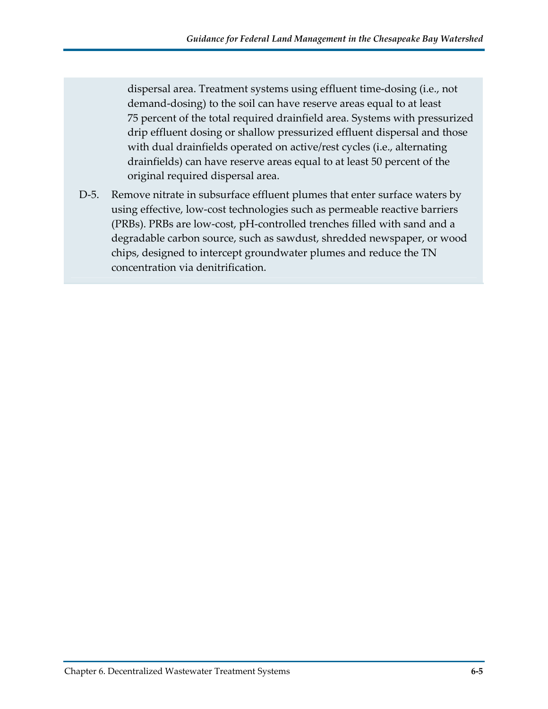dispersal area. Treatment systems using effluent time‐dosing (i.e., not demand‐dosing) to the soil can have reserve areas equal to at least 75 percent of the total required drainfield area. Systems with pressurized drip effluent dosing or shallow pressurized effluent dispersal and those with dual drainfields operated on active/rest cycles (i.e., alternating drainfields) can have reserve areas equal to at least 50 percent of the original required dispersal area.

D-5. Remove nitrate in subsurface effluent plumes that enter surface waters by using effective, low-cost technologies such as permeable reactive barriers (PRBs). PRBs are low‐cost, pH‐controlled trenches filled with sand and a degradable carbon source, such as sawdust, shredded newspaper, or wood chips, designed to intercept groundwater plumes and reduce the TN concentration via denitrification.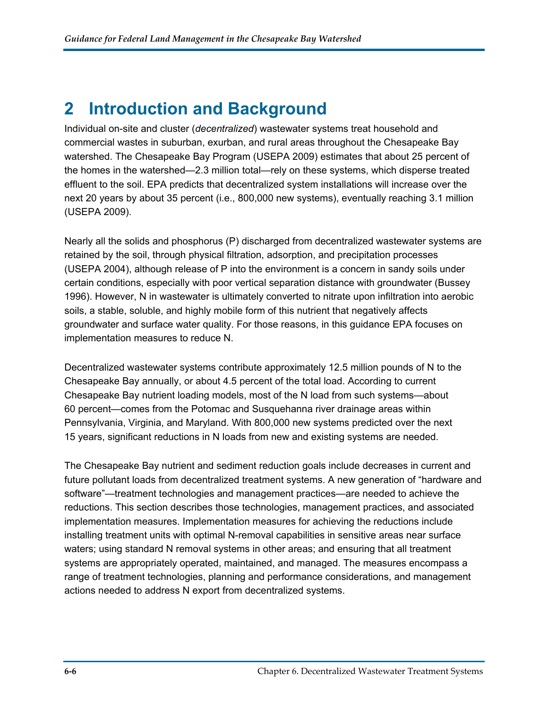# <span id="page-6-0"></span>**2 Introduction and Background**

Individual on-site and cluster (*decentralized*) wastewater systems treat household and commercial wastes in suburban, exurban, and rural areas throughout the Chesapeake Bay watershed. The Chesapeake Bay Program (USEPA 2009) estimates that about 25 percent of the homes in the watershed—2.3 million total—rely on these systems, which disperse treated effluent to the soil. EPA predicts that decentralized system installations will increase over the next 20 years by about 35 percent (i.e., 800,000 new systems), eventually reaching 3.1 million (USEPA 2009).

Nearly all the solids and phosphorus (P) discharged from decentralized wastewater systems are retained by the soil, through physical filtration, adsorption, and precipitation processes (USEPA 2004), although release of P into the environment is a concern in sandy soils under certain conditions, especially with poor vertical separation distance with groundwater (Bussey 1996). However, N in wastewater is ultimately converted to nitrate upon infiltration into aerobic soils, a stable, soluble, and highly mobile form of this nutrient that negatively affects groundwater and surface water quality. For those reasons, in this guidance EPA focuses on implementation measures to reduce N.

Decentralized wastewater systems contribute approximately 12.5 million pounds of N to the Chesapeake Bay annually, or about 4.5 percent of the total load. According to current Chesapeake Bay nutrient loading models, most of the N load from such systems—about 60 percent—comes from the Potomac and Susquehanna river drainage areas within Pennsylvania, Virginia, and Maryland. With 800,000 new systems predicted over the next 15 years, significant reductions in N loads from new and existing systems are needed.

The Chesapeake Bay nutrient and sediment reduction goals include decreases in current and future pollutant loads from decentralized treatment systems. A new generation of "hardware and software"—treatment technologies and management practices—are needed to achieve the reductions. This section describes those technologies, management practices, and associated implementation measures. Implementation measures for achieving the reductions include installing treatment units with optimal N-removal capabilities in sensitive areas near surface waters; using standard N removal systems in other areas; and ensuring that all treatment systems are appropriately operated, maintained, and managed. The measures encompass a range of treatment technologies, planning and performance considerations, and management actions needed to address N export from decentralized systems.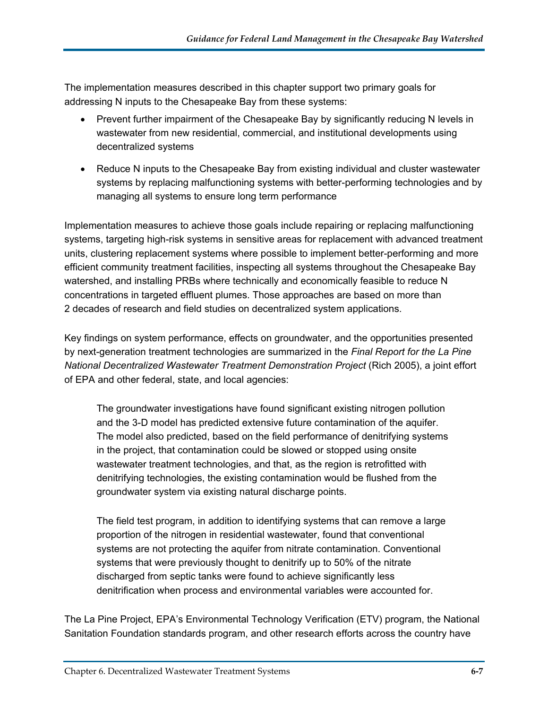The implementation measures described in this chapter support two primary goals for addressing N inputs to the Chesapeake Bay from these systems:

- Prevent further impairment of the Chesapeake Bay by significantly reducing N levels in wastewater from new residential, commercial, and institutional developments using decentralized systems
- Reduce N inputs to the Chesapeake Bay from existing individual and cluster wastewater systems by replacing malfunctioning systems with better-performing technologies and by managing all systems to ensure long term performance

Implementation measures to achieve those goals include repairing or replacing malfunctioning systems, targeting high-risk systems in sensitive areas for replacement with advanced treatment units, clustering replacement systems where possible to implement better-performing and more efficient community treatment facilities, inspecting all systems throughout the Chesapeake Bay watershed, and installing PRBs where technically and economically feasible to reduce N concentrations in targeted effluent plumes. Those approaches are based on more than 2 decades of research and field studies on decentralized system applications.

Key findings on system performance, effects on groundwater, and the opportunities presented by next-generation treatment technologies are summarized in the *Final Report for the La Pine National Decentralized Wastewater Treatment Demonstration Project* (Rich 2005), a joint effort of EPA and other federal, state, and local agencies:

The groundwater investigations have found significant existing nitrogen pollution and the 3-D model has predicted extensive future contamination of the aquifer. The model also predicted, based on the field performance of denitrifying systems in the project, that contamination could be slowed or stopped using onsite wastewater treatment technologies, and that, as the region is retrofitted with denitrifying technologies, the existing contamination would be flushed from the groundwater system via existing natural discharge points.

The field test program, in addition to identifying systems that can remove a large proportion of the nitrogen in residential wastewater, found that conventional systems are not protecting the aquifer from nitrate contamination. Conventional systems that were previously thought to denitrify up to 50% of the nitrate discharged from septic tanks were found to achieve significantly less denitrification when process and environmental variables were accounted for.

The La Pine Project, EPA's Environmental Technology Verification (ETV) program, the National Sanitation Foundation standards program, and other research efforts across the country have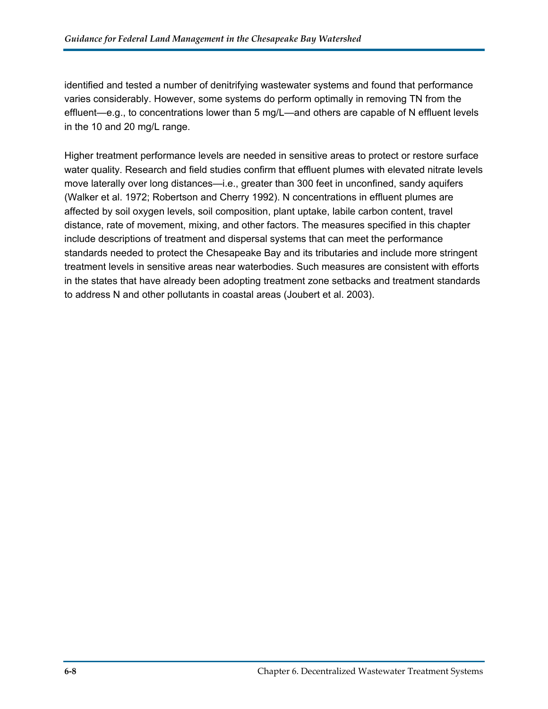identified and tested a number of denitrifying wastewater systems and found that performance varies considerably. However, some systems do perform optimally in removing TN from the effluent—e.g., to concentrations lower than 5 mg/L—and others are capable of N effluent levels in the 10 and 20 mg/L range.

Higher treatment performance levels are needed in sensitive areas to protect or restore surface water quality. Research and field studies confirm that effluent plumes with elevated nitrate levels move laterally over long distances—i.e., greater than 300 feet in unconfined, sandy aquifers (Walker et al. 1972; Robertson and Cherry 1992). N concentrations in effluent plumes are affected by soil oxygen levels, soil composition, plant uptake, labile carbon content, travel distance, rate of movement, mixing, and other factors. The measures specified in this chapter include descriptions of treatment and dispersal systems that can meet the performance standards needed to protect the Chesapeake Bay and its tributaries and include more stringent treatment levels in sensitive areas near waterbodies. Such measures are consistent with efforts in the states that have already been adopting treatment zone setbacks and treatment standards to address N and other pollutants in coastal areas (Joubert et al. 2003).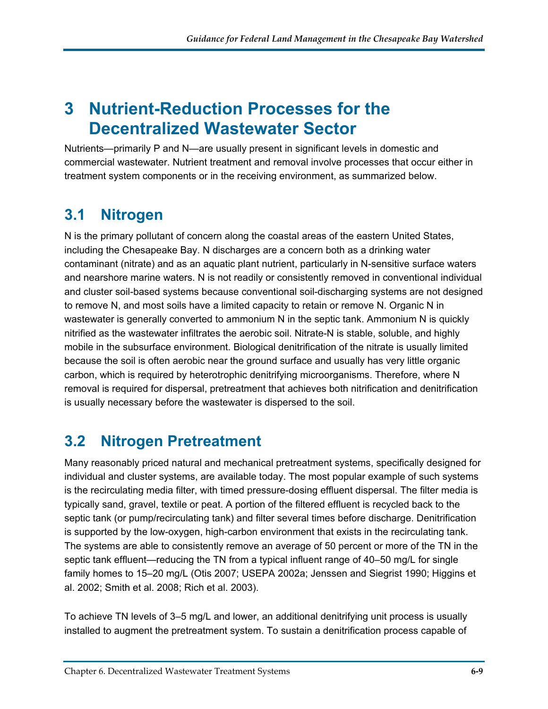# <span id="page-9-0"></span>**3 Nutrient-Reduction Processes for the Decentralized Wastewater Sector**

Nutrients—primarily P and N—are usually present in significant levels in domestic and commercial wastewater. Nutrient treatment and removal involve processes that occur either in treatment system components or in the receiving environment, as summarized below.

# <span id="page-9-1"></span>**3.1 Nitrogen**

N is the primary pollutant of concern along the coastal areas of the eastern United States, including the Chesapeake Bay. N discharges are a concern both as a drinking water contaminant (nitrate) and as an aquatic plant nutrient, particularly in N-sensitive surface waters and nearshore marine waters. N is not readily or consistently removed in conventional individual and cluster soil-based systems because conventional soil-discharging systems are not designed to remove N, and most soils have a limited capacity to retain or remove N. Organic N in wastewater is generally converted to ammonium N in the septic tank. Ammonium N is quickly nitrified as the wastewater infiltrates the aerobic soil. Nitrate-N is stable, soluble, and highly mobile in the subsurface environment. Biological denitrification of the nitrate is usually limited because the soil is often aerobic near the ground surface and usually has very little organic carbon, which is required by heterotrophic denitrifying microorganisms. Therefore, where N removal is required for dispersal, pretreatment that achieves both nitrification and denitrification is usually necessary before the wastewater is dispersed to the soil.

### <span id="page-9-2"></span>**3.2 Nitrogen Pretreatment**

Many reasonably priced natural and mechanical pretreatment systems, specifically designed for individual and cluster systems, are available today. The most popular example of such systems is the recirculating media filter, with timed pressure-dosing effluent dispersal. The filter media is typically sand, gravel, textile or peat. A portion of the filtered effluent is recycled back to the septic tank (or pump/recirculating tank) and filter several times before discharge. Denitrification is supported by the low-oxygen, high-carbon environment that exists in the recirculating tank. The systems are able to consistently remove an average of 50 percent or more of the TN in the septic tank effluent—reducing the TN from a typical influent range of 40–50 mg/L for single family homes to 15–20 mg/L (Otis 2007; USEPA 2002a; Jenssen and Siegrist 1990; Higgins et al. 2002; Smith et al. 2008; Rich et al. 2003).

To achieve TN levels of 3–5 mg/L and lower, an additional denitrifying unit process is usually installed to augment the pretreatment system. To sustain a denitrification process capable of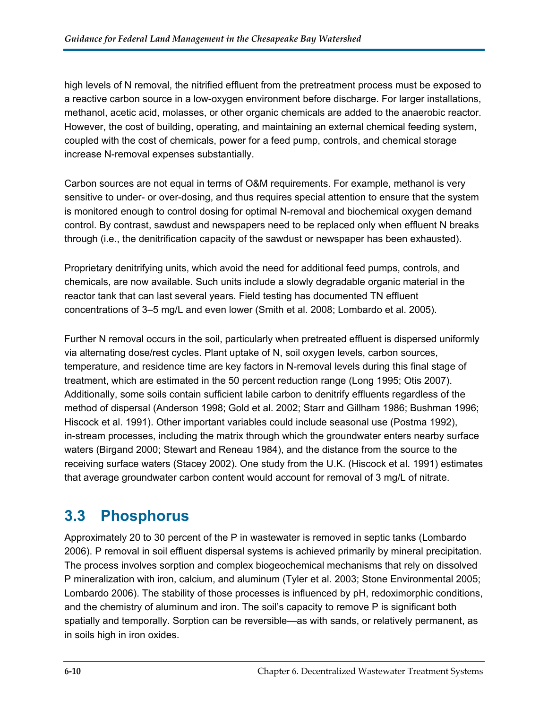high levels of N removal, the nitrified effluent from the pretreatment process must be exposed to a reactive carbon source in a low-oxygen environment before discharge. For larger installations, methanol, acetic acid, molasses, or other organic chemicals are added to the anaerobic reactor. However, the cost of building, operating, and maintaining an external chemical feeding system, coupled with the cost of chemicals, power for a feed pump, controls, and chemical storage increase N-removal expenses substantially.

Carbon sources are not equal in terms of O&M requirements. For example, methanol is very sensitive to under- or over-dosing, and thus requires special attention to ensure that the system is monitored enough to control dosing for optimal N-removal and biochemical oxygen demand control. By contrast, sawdust and newspapers need to be replaced only when effluent N breaks through (i.e., the denitrification capacity of the sawdust or newspaper has been exhausted).

Proprietary denitrifying units, which avoid the need for additional feed pumps, controls, and chemicals, are now available. Such units include a slowly degradable organic material in the reactor tank that can last several years. Field testing has documented TN effluent concentrations of 3–5 mg/L and even lower (Smith et al. 2008; Lombardo et al. 2005).

Further N removal occurs in the soil, particularly when pretreated effluent is dispersed uniformly via alternating dose/rest cycles. Plant uptake of N, soil oxygen levels, carbon sources, temperature, and residence time are key factors in N-removal levels during this final stage of treatment, which are estimated in the 50 percent reduction range (Long 1995; Otis 2007). Additionally, some soils contain sufficient labile carbon to denitrify effluents regardless of the method of dispersal (Anderson 1998; Gold et al. 2002; Starr and Gillham 1986; Bushman 1996; Hiscock et al. 1991). Other important variables could include seasonal use (Postma 1992), in-stream processes, including the matrix through which the groundwater enters nearby surface waters (Birgand 2000; Stewart and Reneau 1984), and the distance from the source to the receiving surface waters (Stacey 2002). One study from the U.K. (Hiscock et al. 1991) estimates that average groundwater carbon content would account for removal of 3 mg/L of nitrate.

#### <span id="page-10-0"></span>**3.3 Phosphorus**

Approximately 20 to 30 percent of the P in wastewater is removed in septic tanks (Lombardo 2006). P removal in soil effluent dispersal systems is achieved primarily by mineral precipitation. The process involves sorption and complex biogeochemical mechanisms that rely on dissolved P mineralization with iron, calcium, and aluminum (Tyler et al. 2003; Stone Environmental 2005; Lombardo 2006). The stability of those processes is influenced by pH, redoximorphic conditions, and the chemistry of aluminum and iron. The soil's capacity to remove P is significant both spatially and temporally. Sorption can be reversible—as with sands, or relatively permanent, as in soils high in iron oxides.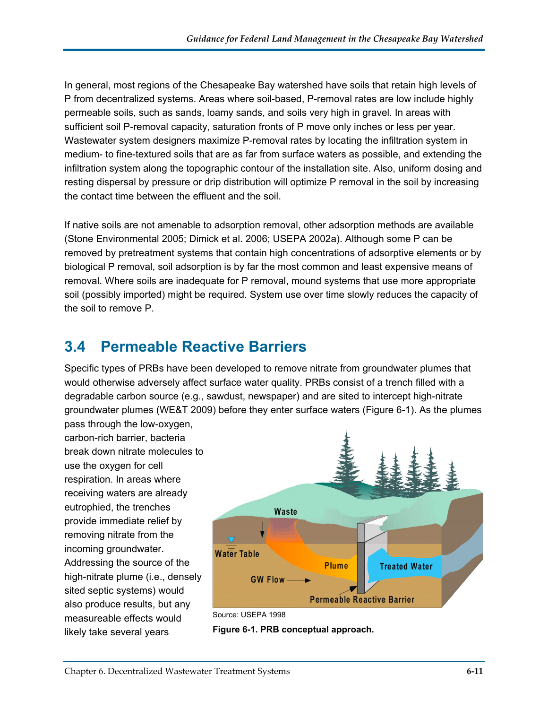In general, most regions of the Chesapeake Bay watershed have soils that retain high levels of P from decentralized systems. Areas where soil-based, P-removal rates are low include highly permeable soils, such as sands, loamy sands, and soils very high in gravel. In areas with sufficient soil P-removal capacity, saturation fronts of P move only inches or less per year. Wastewater system designers maximize P-removal rates by locating the infiltration system in medium- to fine-textured soils that are as far from surface waters as possible, and extending the infiltration system along the topographic contour of the installation site. Also, uniform dosing and resting dispersal by pressure or drip distribution will optimize P removal in the soil by increasing the contact time between the effluent and the soil.

If native soils are not amenable to adsorption removal, other adsorption methods are available (Stone Environmental 2005; Dimick et al. 2006; USEPA 2002a). Although some P can be removed by pretreatment systems that contain high concentrations of adsorptive elements or by biological P removal, soil adsorption is by far the most common and least expensive means of removal. Where soils are inadequate for P removal, mound systems that use more appropriate soil (possibly imported) might be required. System use over time slowly reduces the capacity of the soil to remove P.

#### <span id="page-11-0"></span>**3.4 Permeable Reactive Barriers**

Specific types of PRBs have been developed to remove nitrate from groundwater plumes that would otherwise adversely affect surface water quality. PRBs consist of a trench filled with a degradable carbon source (e.g., sawdust, newspaper) and are sited to intercept high-nitrate groundwater plumes (WE&T 2009) before they enter surface waters (Figure 6-1). As the plumes pass through the low-oxygen,

carbon-rich barrier, bacteria break down nitrate molecules to use the oxygen for cell respiration. In areas where receiving waters are already eutrophied, the trenches provide immediate relief by removing nitrate from the incoming groundwater. Addressing the source of the high-nitrate plume (i.e., densely sited septic systems) would also produce results, but any measureable effects would likely take several years



Source: USEPA 1998

**Figure 6-1. PRB conceptual approach.**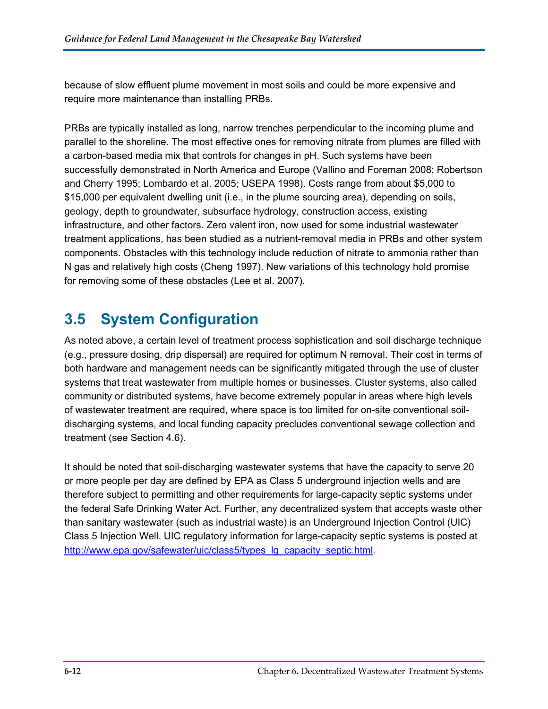because of slow effluent plume movement in most soils and could be more expensive and require more maintenance than installing PRBs.

PRBs are typically installed as long, narrow trenches perpendicular to the incoming plume and parallel to the shoreline. The most effective ones for removing nitrate from plumes are filled with a carbon-based media mix that controls for changes in pH. Such systems have been successfully demonstrated in North America and Europe (Vallino and Foreman 2008; Robertson and Cherry 1995; Lombardo et al. 2005; USEPA 1998). Costs range from about \$5,000 to \$15,000 per equivalent dwelling unit (i.e., in the plume sourcing area), depending on soils, geology, depth to groundwater, subsurface hydrology, construction access, existing infrastructure, and other factors. Zero valent iron, now used for some industrial wastewater treatment applications, has been studied as a nutrient-removal media in PRBs and other system components. Obstacles with this technology include reduction of nitrate to ammonia rather than N gas and relatively high costs (Cheng 1997). New variations of this technology hold promise for removing some of these obstacles (Lee et al. 2007).

#### <span id="page-12-0"></span>**3.5 System Configuration**

As noted above, a certain level of treatment process sophistication and soil discharge technique (e.g., pressure dosing, drip dispersal) are required for optimum N removal. Their cost in terms of both hardware and management needs can be significantly mitigated through the use of cluster systems that treat wastewater from multiple homes or businesses. Cluster systems, also called community or distributed systems, have become extremely popular in areas where high levels of wastewater treatment are required, where space is too limited for on-site conventional soildischarging systems, and local funding capacity precludes conventional sewage collection and treatment (see Section 4.6).

It should be noted that soil-discharging wastewater systems that have the capacity to serve 20 or more people per day are defined by EPA as Class 5 underground injection wells and are therefore subject to permitting and other requirements for large-capacity septic systems under the federal Safe Drinking Water Act. Further, any decentralized system that accepts waste other than sanitary wastewater (such as industrial waste) is an Underground Injection Control (UIC) Class 5 Injection Well. UIC regulatory information for large-capacity septic systems is posted at [http://www.epa.gov/safewater/uic/class5/types\\_lg\\_capacity\\_septic.html.](http://www.epa.gov/safewater/uic/class5/types_lg_capacity_septic.html)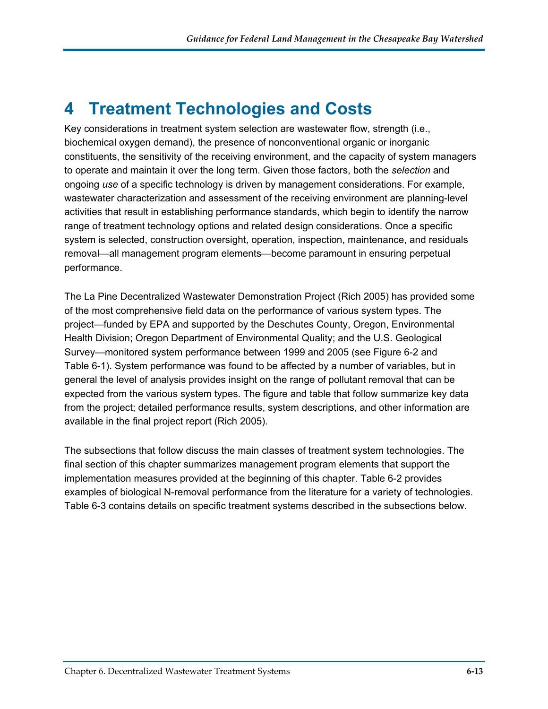# <span id="page-13-0"></span>**4 Treatment Technologies and Costs**

Key considerations in treatment system selection are wastewater flow, strength (i.e., biochemical oxygen demand), the presence of nonconventional organic or inorganic constituents, the sensitivity of the receiving environment, and the capacity of system managers to operate and maintain it over the long term. Given those factors, both the *selection* and ongoing *use* of a specific technology is driven by management considerations. For example, wastewater characterization and assessment of the receiving environment are planning-level activities that result in establishing performance standards, which begin to identify the narrow range of treatment technology options and related design considerations. Once a specific system is selected, construction oversight, operation, inspection, maintenance, and residuals removal—all management program elements—become paramount in ensuring perpetual performance.

The La Pine Decentralized Wastewater Demonstration Project (Rich 2005) has provided some of the most comprehensive field data on the performance of various system types. The project—funded by EPA and supported by the Deschutes County, Oregon, Environmental Health Division; Oregon Department of Environmental Quality; and the U.S. Geological Survey—monitored system performance between 1999 and 2005 (see Figure 6-2 and Table 6-1). System performance was found to be affected by a number of variables, but in general the level of analysis provides insight on the range of pollutant removal that can be expected from the various system types. The figure and table that follow summarize key data from the project; detailed performance results, system descriptions, and other information are available in the final project report (Rich 2005).

The subsections that follow discuss the main classes of treatment system technologies. The final section of this chapter summarizes management program elements that support the implementation measures provided at the beginning of this chapter. Table 6-2 provides examples of biological N-removal performance from the literature for a variety of technologies. Table 6-3 contains details on specific treatment systems described in the subsections below.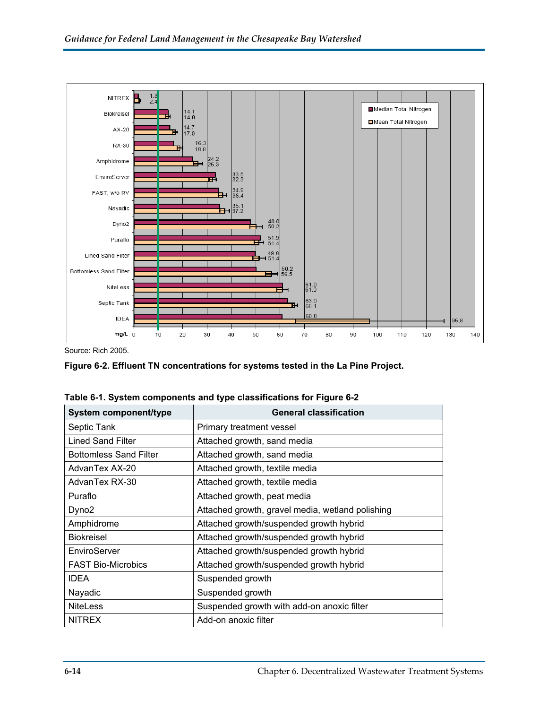

Source: Rich 2005.



| <b>System component/type</b>  | <b>General classification</b>                    |
|-------------------------------|--------------------------------------------------|
| Septic Tank                   | Primary treatment vessel                         |
| <b>Lined Sand Filter</b>      | Attached growth, sand media                      |
| <b>Bottomless Sand Filter</b> | Attached growth, sand media                      |
| AdvanTex AX-20                | Attached growth, textile media                   |
| AdvanTex RX-30                | Attached growth, textile media                   |
| Puraflo                       | Attached growth, peat media                      |
| Dyno2                         | Attached growth, gravel media, wetland polishing |
| Amphidrome                    | Attached growth/suspended growth hybrid          |
| <b>Biokreisel</b>             | Attached growth/suspended growth hybrid          |
| EnviroServer                  | Attached growth/suspended growth hybrid          |
| <b>FAST Bio-Microbics</b>     | Attached growth/suspended growth hybrid          |
| <b>IDEA</b>                   | Suspended growth                                 |
| Nayadic                       | Suspended growth                                 |
| <b>NiteLess</b>               | Suspended growth with add-on anoxic filter       |
| <b>NITREX</b>                 | Add-on anoxic filter                             |

|  |  |  | Table 6-1. System components and type classifications for Figure 6-2 |
|--|--|--|----------------------------------------------------------------------|
|--|--|--|----------------------------------------------------------------------|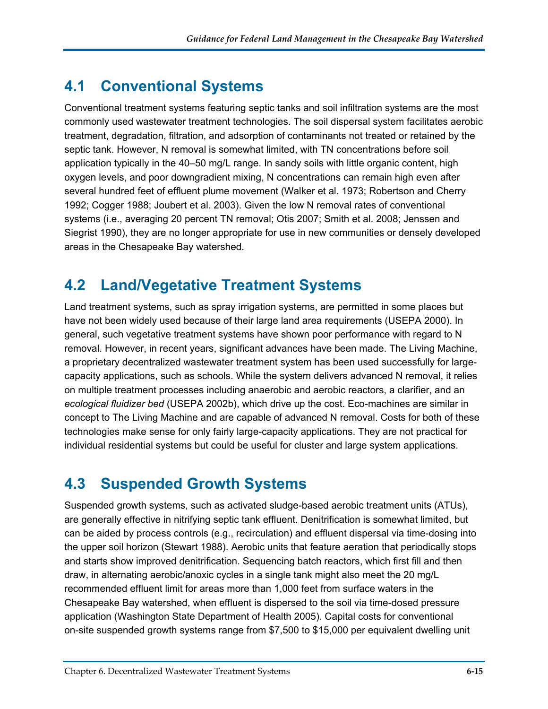# <span id="page-15-0"></span>**4.1 Conventional Systems**

Conventional treatment systems featuring septic tanks and soil infiltration systems are the most commonly used wastewater treatment technologies. The soil dispersal system facilitates aerobic treatment, degradation, filtration, and adsorption of contaminants not treated or retained by the septic tank. However, N removal is somewhat limited, with TN concentrations before soil application typically in the 40–50 mg/L range. In sandy soils with little organic content, high oxygen levels, and poor downgradient mixing, N concentrations can remain high even after several hundred feet of effluent plume movement (Walker et al. 1973; Robertson and Cherry 1992; Cogger 1988; Joubert et al. 2003). Given the low N removal rates of conventional systems (i.e., averaging 20 percent TN removal; Otis 2007; Smith et al. 2008; Jenssen and Siegrist 1990), they are no longer appropriate for use in new communities or densely developed areas in the Chesapeake Bay watershed.

#### <span id="page-15-1"></span>**4.2 Land/Vegetative Treatment Systems**

Land treatment systems, such as spray irrigation systems, are permitted in some places but have not been widely used because of their large land area requirements (USEPA 2000). In general, such vegetative treatment systems have shown poor performance with regard to N removal. However, in recent years, significant advances have been made. The Living Machine, a proprietary decentralized wastewater treatment system has been used successfully for largecapacity applications, such as schools. While the system delivers advanced N removal, it relies on multiple treatment processes including anaerobic and aerobic reactors, a clarifier, and an *ecological fluidizer bed* (USEPA 2002b), which drive up the cost. Eco-machines are similar in concept to The Living Machine and are capable of advanced N removal. Costs for both of these technologies make sense for only fairly large-capacity applications. They are not practical for individual residential systems but could be useful for cluster and large system applications.

### <span id="page-15-2"></span>**4.3 Suspended Growth Systems**

Suspended growth systems, such as activated sludge-based aerobic treatment units (ATUs), are generally effective in nitrifying septic tank effluent. Denitrification is somewhat limited, but can be aided by process controls (e.g., recirculation) and effluent dispersal via time-dosing into the upper soil horizon (Stewart 1988). Aerobic units that feature aeration that periodically stops and starts show improved denitrification. Sequencing batch reactors, which first fill and then draw, in alternating aerobic/anoxic cycles in a single tank might also meet the 20 mg/L recommended effluent limit for areas more than 1,000 feet from surface waters in the Chesapeake Bay watershed, when effluent is dispersed to the soil via time-dosed pressure application (Washington State Department of Health 2005). Capital costs for conventional on-site suspended growth systems range from \$7,500 to \$15,000 per equivalent dwelling unit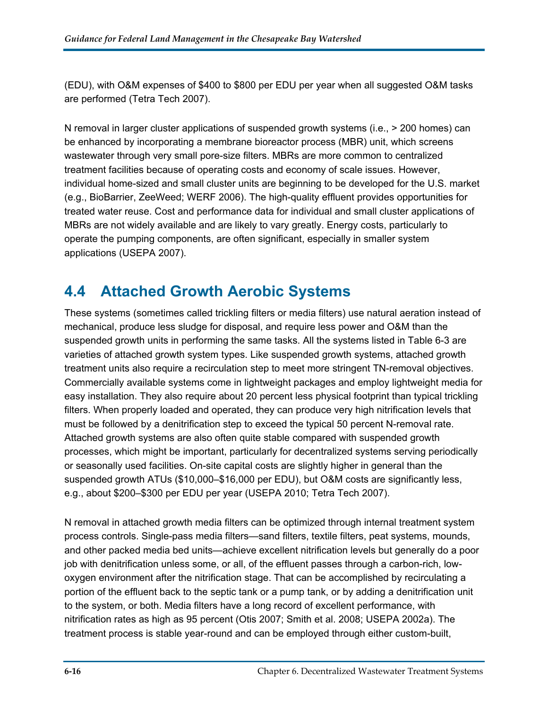(EDU), with O&M expenses of \$400 to \$800 per EDU per year when all suggested O&M tasks are performed (Tetra Tech 2007).

N removal in larger cluster applications of suspended growth systems (i.e., > 200 homes) can be enhanced by incorporating a membrane bioreactor process (MBR) unit, which screens wastewater through very small pore-size filters. MBRs are more common to centralized treatment facilities because of operating costs and economy of scale issues. However, individual home-sized and small cluster units are beginning to be developed for the U.S. market (e.g., BioBarrier, ZeeWeed; WERF 2006). The high-quality effluent provides opportunities for treated water reuse. Cost and performance data for individual and small cluster applications of MBRs are not widely available and are likely to vary greatly. Energy costs, particularly to operate the pumping components, are often significant, especially in smaller system applications (USEPA 2007).

#### <span id="page-16-0"></span>**4.4 Attached Growth Aerobic Systems**

These systems (sometimes called trickling filters or media filters) use natural aeration instead of mechanical, produce less sludge for disposal, and require less power and O&M than the suspended growth units in performing the same tasks. All the systems listed in Table 6-3 are varieties of attached growth system types. Like suspended growth systems, attached growth treatment units also require a recirculation step to meet more stringent TN-removal objectives. Commercially available systems come in lightweight packages and employ lightweight media for easy installation. They also require about 20 percent less physical footprint than typical trickling filters. When properly loaded and operated, they can produce very high nitrification levels that must be followed by a denitrification step to exceed the typical 50 percent N-removal rate. Attached growth systems are also often quite stable compared with suspended growth processes, which might be important, particularly for decentralized systems serving periodically or seasonally used facilities. On-site capital costs are slightly higher in general than the suspended growth ATUs (\$10,000–\$16,000 per EDU), but O&M costs are significantly less, e.g., about \$200–\$300 per EDU per year (USEPA 2010; Tetra Tech 2007).

N removal in attached growth media filters can be optimized through internal treatment system process controls. Single-pass media filters—sand filters, textile filters, peat systems, mounds, and other packed media bed units—achieve excellent nitrification levels but generally do a poor job with denitrification unless some, or all, of the effluent passes through a carbon-rich, lowoxygen environment after the nitrification stage. That can be accomplished by recirculating a portion of the effluent back to the septic tank or a pump tank, or by adding a denitrification unit to the system, or both. Media filters have a long record of excellent performance, with nitrification rates as high as 95 percent (Otis 2007; Smith et al. 2008; USEPA 2002a). The treatment process is stable year-round and can be employed through either custom-built,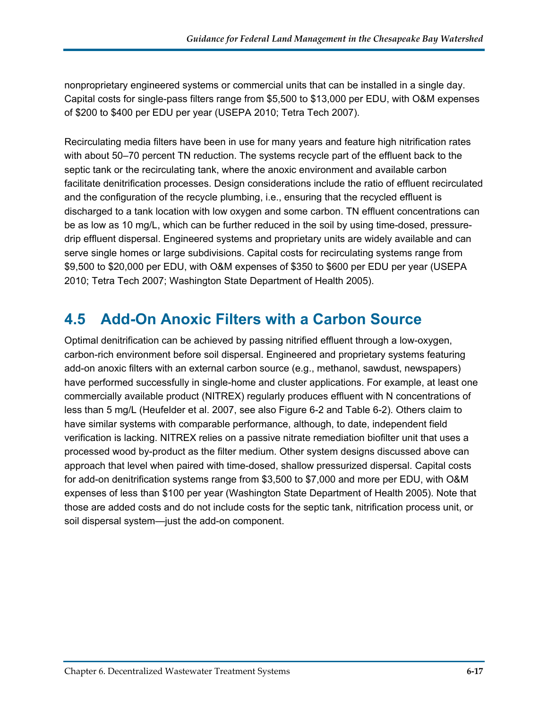nonproprietary engineered systems or commercial units that can be installed in a single day. Capital costs for single-pass filters range from \$5,500 to \$13,000 per EDU, with O&M expenses of \$200 to \$400 per EDU per year (USEPA 2010; Tetra Tech 2007).

Recirculating media filters have been in use for many years and feature high nitrification rates with about 50–70 percent TN reduction. The systems recycle part of the effluent back to the septic tank or the recirculating tank, where the anoxic environment and available carbon facilitate denitrification processes. Design considerations include the ratio of effluent recirculated and the configuration of the recycle plumbing, i.e., ensuring that the recycled effluent is discharged to a tank location with low oxygen and some carbon. TN effluent concentrations can be as low as 10 mg/L, which can be further reduced in the soil by using time-dosed, pressuredrip effluent dispersal. Engineered systems and proprietary units are widely available and can serve single homes or large subdivisions. Capital costs for recirculating systems range from \$9,500 to \$20,000 per EDU, with O&M expenses of \$350 to \$600 per EDU per year (USEPA 2010; Tetra Tech 2007; Washington State Department of Health 2005).

#### <span id="page-17-0"></span>**4.5 Add-On Anoxic Filters with a Carbon Source**

Optimal denitrification can be achieved by passing nitrified effluent through a low-oxygen, carbon-rich environment before soil dispersal. Engineered and proprietary systems featuring add-on anoxic filters with an external carbon source (e.g., methanol, sawdust, newspapers) have performed successfully in single-home and cluster applications. For example, at least one commercially available product (NITREX) regularly produces effluent with N concentrations of less than 5 mg/L (Heufelder et al. 2007, see also Figure 6-2 and Table 6-2). Others claim to have similar systems with comparable performance, although, to date, independent field verification is lacking. NITREX relies on a passive nitrate remediation biofilter unit that uses a processed wood by-product as the filter medium. Other system designs discussed above can approach that level when paired with time-dosed, shallow pressurized dispersal. Capital costs for add-on denitrification systems range from \$3,500 to \$7,000 and more per EDU, with O&M expenses of less than \$100 per year (Washington State Department of Health 2005). Note that those are added costs and do not include costs for the septic tank, nitrification process unit, or soil dispersal system—just the add-on component.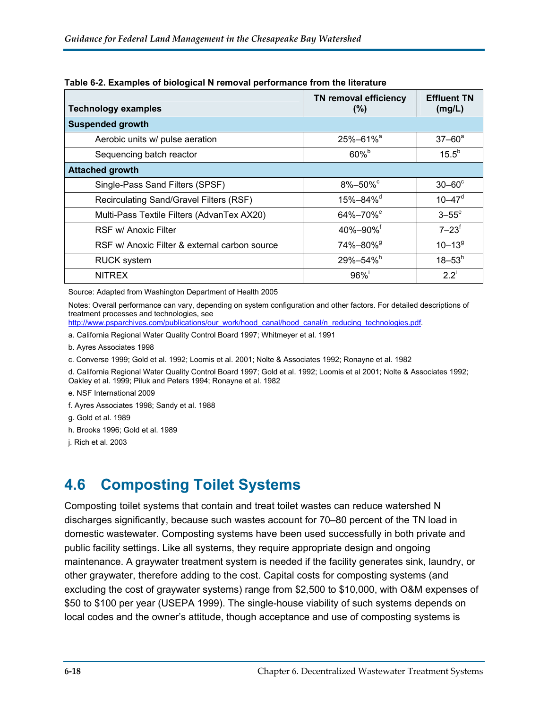| <b>Technology examples</b>                    | <b>TN removal efficiency</b><br>$(\%)$ | <b>Effluent TN</b><br>(mg/L) |
|-----------------------------------------------|----------------------------------------|------------------------------|
| <b>Suspended growth</b>                       |                                        |                              |
| Aerobic units w/ pulse aeration               | 25%-61% <sup>a</sup>                   | $37 - 60^a$                  |
| Sequencing batch reactor                      | $60\%$                                 | 15.5 <sup>b</sup>            |
| <b>Attached growth</b>                        |                                        |                              |
| Single-Pass Sand Filters (SPSF)               | $8\% - 50\%$                           | $30-60^\circ$                |
| Recirculating Sand/Gravel Filters (RSF)       | 15%-84% <sup>d</sup>                   | $10 - 47$ <sup>d</sup>       |
| Multi-Pass Textile Filters (AdvanTex AX20)    | 64%-70% <sup>e</sup>                   | $3-55$ <sup>e</sup>          |
| RSF w/ Anoxic Filter                          | 40%-90% <sup>f</sup>                   | $7-23$ <sup>f</sup>          |
| RSF w/ Anoxic Filter & external carbon source | 74%-80% <sup>9</sup>                   | $10 - 139$                   |
| <b>RUCK system</b>                            | 29%-54% <sup>h</sup>                   | $18 - 53^h$                  |
| <b>NITREX</b>                                 | 96%                                    | $2.2^{\circ}$                |

**Table 6-2. Examples of biological N removal performance from the literature** 

Source: Adapted from Washington Department of Health 2005

Notes: Overall performance can vary, depending on system configuration and other factors. For detailed descriptions of treatment processes and technologies, see

[http://www.psparchives.com/publications/our\\_work/hood\\_canal/hood\\_canal/n\\_reducing\\_technologies.pdf](http://www.psparchives.com/publications/our_work/hood_canal/hood_canal/n_reducing_technologies.pdf).

a. California Regional Water Quality Control Board 1997; Whitmeyer et al. 1991

b. Ayres Associates 1998

c. Converse 1999; Gold et al. 1992; Loomis et al. 2001; Nolte & Associates 1992; Ronayne et al. 1982

d. California Regional Water Quality Control Board 1997; Gold et al. 1992; Loomis et al 2001; Nolte & Associates 1992; Oakley et al. 1999; Piluk and Peters 1994; Ronayne et al. 1982

e. NSF International 2009

f. Ayres Associates 1998; Sandy et al. 1988

g. Gold et al. 1989

h. Brooks 1996; Gold et al. 1989

j. Rich et al. 2003

#### <span id="page-18-0"></span>**4.6 Composting Toilet Systems**

Composting toilet systems that contain and treat toilet wastes can reduce watershed N discharges significantly, because such wastes account for 70–80 percent of the TN load in domestic wastewater. Composting systems have been used successfully in both private and public facility settings. Like all systems, they require appropriate design and ongoing maintenance. A graywater treatment system is needed if the facility generates sink, laundry, or other graywater, therefore adding to the cost. Capital costs for composting systems (and excluding the cost of graywater systems) range from \$2,500 to \$10,000, with O&M expenses of \$50 to \$100 per year (USEPA 1999). The single-house viability of such systems depends on local codes and the owner's attitude, though acceptance and use of composting systems is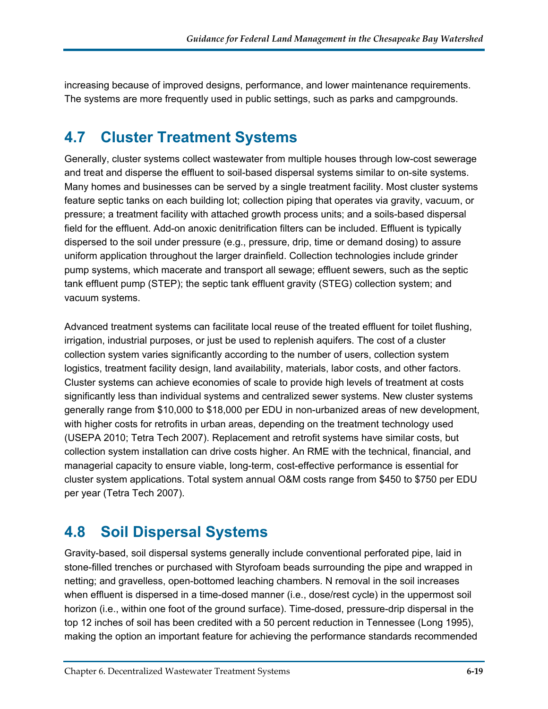increasing because of improved designs, performance, and lower maintenance requirements. The systems are more frequently used in public settings, such as parks and campgrounds.

#### <span id="page-19-0"></span>**4.7 Cluster Treatment Systems**

Generally, cluster systems collect wastewater from multiple houses through low-cost sewerage and treat and disperse the effluent to soil-based dispersal systems similar to on-site systems. Many homes and businesses can be served by a single treatment facility. Most cluster systems feature septic tanks on each building lot; collection piping that operates via gravity, vacuum, or pressure; a treatment facility with attached growth process units; and a soils-based dispersal field for the effluent. Add-on anoxic denitrification filters can be included. Effluent is typically dispersed to the soil under pressure (e.g., pressure, drip, time or demand dosing) to assure uniform application throughout the larger drainfield. Collection technologies include grinder pump systems, which macerate and transport all sewage; effluent sewers, such as the septic tank effluent pump (STEP); the septic tank effluent gravity (STEG) collection system; and vacuum systems.

Advanced treatment systems can facilitate local reuse of the treated effluent for toilet flushing, irrigation, industrial purposes, or just be used to replenish aquifers. The cost of a cluster collection system varies significantly according to the number of users, collection system logistics, treatment facility design, land availability, materials, labor costs, and other factors. Cluster systems can achieve economies of scale to provide high levels of treatment at costs significantly less than individual systems and centralized sewer systems. New cluster systems generally range from \$10,000 to \$18,000 per EDU in non-urbanized areas of new development, with higher costs for retrofits in urban areas, depending on the treatment technology used (USEPA 2010; Tetra Tech 2007). Replacement and retrofit systems have similar costs, but collection system installation can drive costs higher. An RME with the technical, financial, and managerial capacity to ensure viable, long-term, cost-effective performance is essential for cluster system applications. Total system annual O&M costs range from \$450 to \$750 per EDU per year (Tetra Tech 2007).

#### <span id="page-19-1"></span>**4.8 Soil Dispersal Systems**

Gravity-based, soil dispersal systems generally include conventional perforated pipe, laid in stone-filled trenches or purchased with Styrofoam beads surrounding the pipe and wrapped in netting; and gravelless, open-bottomed leaching chambers. N removal in the soil increases when effluent is dispersed in a time-dosed manner (i.e., dose/rest cycle) in the uppermost soil horizon (i.e., within one foot of the ground surface). Time-dosed, pressure-drip dispersal in the top 12 inches of soil has been credited with a 50 percent reduction in Tennessee (Long 1995), making the option an important feature for achieving the performance standards recommended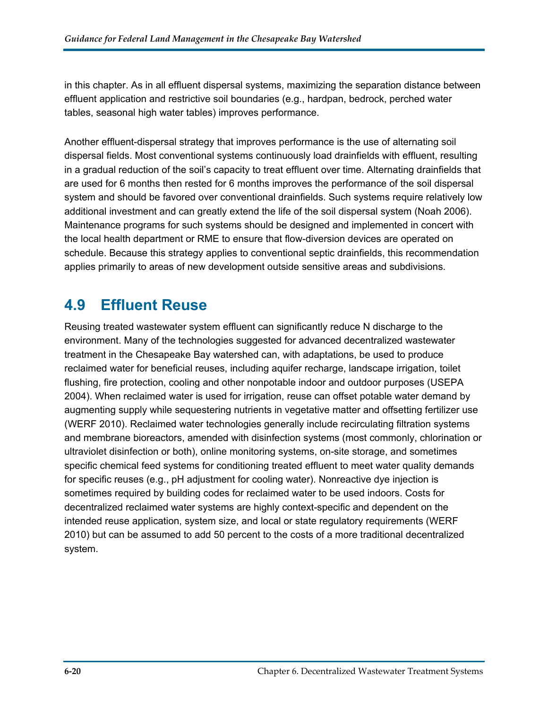in this chapter. As in all effluent dispersal systems, maximizing the separation distance between effluent application and restrictive soil boundaries (e.g., hardpan, bedrock, perched water tables, seasonal high water tables) improves performance.

Another effluent-dispersal strategy that improves performance is the use of alternating soil dispersal fields. Most conventional systems continuously load drainfields with effluent, resulting in a gradual reduction of the soil's capacity to treat effluent over time. Alternating drainfields that are used for 6 months then rested for 6 months improves the performance of the soil dispersal system and should be favored over conventional drainfields. Such systems require relatively low additional investment and can greatly extend the life of the soil dispersal system (Noah 2006). Maintenance programs for such systems should be designed and implemented in concert with the local health department or RME to ensure that flow-diversion devices are operated on schedule. Because this strategy applies to conventional septic drainfields, this recommendation applies primarily to areas of new development outside sensitive areas and subdivisions.

#### <span id="page-20-0"></span>**4.9 Effluent Reuse**

Reusing treated wastewater system effluent can significantly reduce N discharge to the environment. Many of the technologies suggested for advanced decentralized wastewater treatment in the Chesapeake Bay watershed can, with adaptations, be used to produce reclaimed water for beneficial reuses, including aquifer recharge, landscape irrigation, toilet flushing, fire protection, cooling and other nonpotable indoor and outdoor purposes (USEPA 2004). When reclaimed water is used for irrigation, reuse can offset potable water demand by augmenting supply while sequestering nutrients in vegetative matter and offsetting fertilizer use (WERF 2010). Reclaimed water technologies generally include recirculating filtration systems and membrane bioreactors, amended with disinfection systems (most commonly, chlorination or ultraviolet disinfection or both), online monitoring systems, on-site storage, and sometimes specific chemical feed systems for conditioning treated effluent to meet water quality demands for specific reuses (e.g., pH adjustment for cooling water). Nonreactive dye injection is sometimes required by building codes for reclaimed water to be used indoors. Costs for decentralized reclaimed water systems are highly context-specific and dependent on the intended reuse application, system size, and local or state regulatory requirements (WERF 2010) but can be assumed to add 50 percent to the costs of a more traditional decentralized system.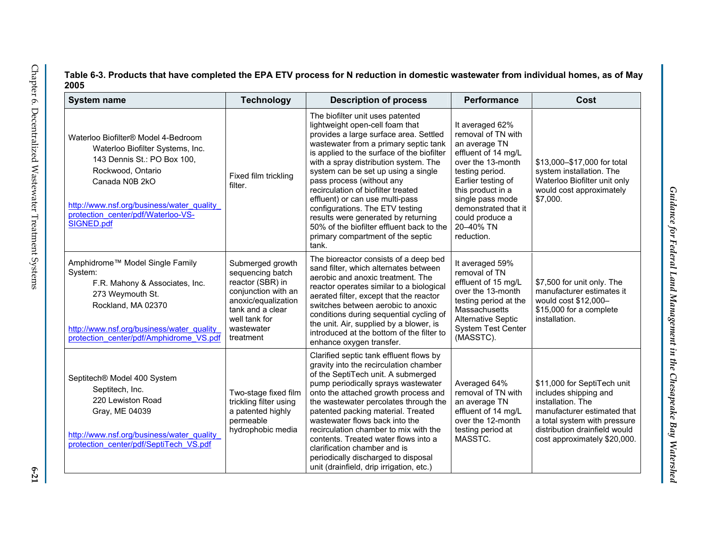| <b>System name</b>                                                                                                                                                                                                                             | <b>Technology</b>                                                                                                                                                      | <b>Description of process</b>                                                                                                                                                                                                                                                                                                                                                                                                                                                                                                                                   | <b>Performance</b>                                                                                                                                                                                                                                         | <b>Cost</b>                                                                                                                                                                                               |  |
|------------------------------------------------------------------------------------------------------------------------------------------------------------------------------------------------------------------------------------------------|------------------------------------------------------------------------------------------------------------------------------------------------------------------------|-----------------------------------------------------------------------------------------------------------------------------------------------------------------------------------------------------------------------------------------------------------------------------------------------------------------------------------------------------------------------------------------------------------------------------------------------------------------------------------------------------------------------------------------------------------------|------------------------------------------------------------------------------------------------------------------------------------------------------------------------------------------------------------------------------------------------------------|-----------------------------------------------------------------------------------------------------------------------------------------------------------------------------------------------------------|--|
| Waterloo Biofilter® Model 4-Bedroom<br>Waterloo Biofilter Systems, Inc.<br>143 Dennis St.: PO Box 100,<br>Rockwood, Ontario<br>Canada N0B 2kO<br>http://www.nsf.org/business/water_quality<br>protection center/pdf/Waterloo-VS-<br>SIGNED.pdf | Fixed film trickling<br>filter.                                                                                                                                        | The biofilter unit uses patented<br>lightweight open-cell foam that<br>provides a large surface area. Settled<br>wastewater from a primary septic tank<br>is applied to the surface of the biofilter<br>with a spray distribution system. The<br>system can be set up using a single<br>pass process (without any<br>recirculation of biofilter treated<br>effluent) or can use multi-pass<br>configurations. The ETV testing<br>results were generated by returning<br>50% of the biofilter effluent back to the<br>primary compartment of the septic<br>tank. | It averaged 62%<br>removal of TN with<br>an average TN<br>effluent of 14 mg/L<br>over the 13-month<br>testing period.<br>Earlier testing of<br>this product in a<br>single pass mode<br>demonstrated that it<br>could produce a<br>20-40% TN<br>reduction. | \$13,000-\$17,000 for total<br>system installation. The<br>Waterloo Biofilter unit only<br>would cost approximately<br>\$7,000.                                                                           |  |
| Amphidrome™ Model Single Family<br>System:<br>F.R. Mahony & Associates, Inc.<br>273 Weymouth St.<br>Rockland, MA 02370<br>http://www.nsf.org/business/water_quality<br>protection center/pdf/Amphidrome VS.pdf                                 | Submerged growth<br>sequencing batch<br>reactor (SBR) in<br>conjunction with an<br>anoxic/equalization<br>tank and a clear<br>well tank for<br>wastewater<br>treatment | The bioreactor consists of a deep bed<br>sand filter, which alternates between<br>aerobic and anoxic treatment. The<br>reactor operates similar to a biological<br>aerated filter, except that the reactor<br>switches between aerobic to anoxic<br>conditions during sequential cycling of<br>the unit. Air, supplied by a blower, is<br>introduced at the bottom of the filter to<br>enhance oxygen transfer.                                                                                                                                                 | It averaged 59%<br>removal of TN<br>effluent of 15 mg/L<br>over the 13-month<br>testing period at the<br>Massachusetts<br>Alternative Septic<br>System Test Center<br>(MASSTC).                                                                            | \$7,500 for unit only. The<br>manufacturer estimates it<br>would cost \$12,000-<br>\$15,000 for a complete<br>installation.                                                                               |  |
| Septitech® Model 400 System<br>Septitech, Inc.<br>220 Lewiston Road<br>Gray, ME 04039<br>http://www.nsf.org/business/water_quality_<br>protection center/pdf/SeptiTech VS.pdf                                                                  | Two-stage fixed film<br>trickling filter using<br>a patented highly<br>permeable<br>hydrophobic media                                                                  | Clarified septic tank effluent flows by<br>gravity into the recirculation chamber<br>of the SeptiTech unit. A submerged<br>pump periodically sprays wastewater<br>onto the attached growth process and<br>the wastewater percolates through the<br>patented packing material. Treated<br>wastewater flows back into the<br>recirculation chamber to mix with the<br>contents. Treated water flows into a<br>clarification chamber and is<br>periodically discharged to disposal<br>unit (drainfield, drip irrigation, etc.)                                     | Averaged 64%<br>removal of TN with<br>an average TN<br>effluent of 14 mg/L<br>over the 12-month<br>testing period at<br>MASSTC.                                                                                                                            | \$11,000 for SeptiTech unit<br>includes shipping and<br>installation. The<br>manufacturer estimated that<br>a total system with pressure<br>distribution drainfield would<br>cost approximately \$20,000. |  |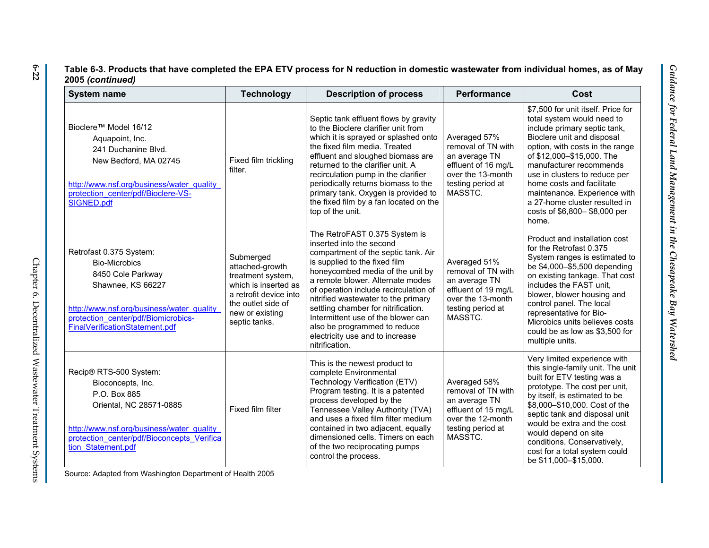| <b>System name</b>                                                                                                                                                                                              | <b>Technology</b>                                                                                                                                             | <b>Description of process</b>                                                                                                                                                                                                                                                                                                                                                                                                                               | <b>Performance</b>                                                                                                              | Cost                                                                                                                                                                                                                                                                                                                                                                                              |
|-----------------------------------------------------------------------------------------------------------------------------------------------------------------------------------------------------------------|---------------------------------------------------------------------------------------------------------------------------------------------------------------|-------------------------------------------------------------------------------------------------------------------------------------------------------------------------------------------------------------------------------------------------------------------------------------------------------------------------------------------------------------------------------------------------------------------------------------------------------------|---------------------------------------------------------------------------------------------------------------------------------|---------------------------------------------------------------------------------------------------------------------------------------------------------------------------------------------------------------------------------------------------------------------------------------------------------------------------------------------------------------------------------------------------|
| Bioclere™ Model 16/12<br>Aquapoint, Inc.<br>241 Duchanine Blvd.<br>New Bedford, MA 02745<br>http://www.nsf.org/business/water_quality<br>protection center/pdf/Bioclere-VS-<br>SIGNED.pdf                       | Fixed film trickling<br>filter.                                                                                                                               | Septic tank effluent flows by gravity<br>to the Bioclere clarifier unit from<br>which it is sprayed or splashed onto<br>the fixed film media. Treated<br>effluent and sloughed biomass are<br>returned to the clarifier unit. A<br>recirculation pump in the clarifier<br>periodically returns biomass to the<br>primary tank. Oxygen is provided to<br>the fixed film by a fan located on the<br>top of the unit.                                          | Averaged 57%<br>removal of TN with<br>an average TN<br>effluent of 16 mg/L<br>over the 13-month<br>testing period at<br>MASSTC. | \$7,500 for unit itself. Price for<br>total system would need to<br>include primary septic tank,<br>Bioclere unit and disposal<br>option, with costs in the range<br>of \$12,000-\$15,000. The<br>manufacturer recommends<br>use in clusters to reduce per<br>home costs and facilitate<br>maintenance. Experience with<br>a 27-home cluster resulted in<br>costs of \$6,800-\$8,000 per<br>home. |
| Retrofast 0.375 System:<br><b>Bio-Microbics</b><br>8450 Cole Parkway<br>Shawnee, KS 66227<br>http://www.nsf.org/business/water_quality<br>protection center/pdf/Biomicrobics-<br>FinalVerificationStatement.pdf | Submerged<br>attached-growth<br>treatment system,<br>which is inserted as<br>a retrofit device into<br>the outlet side of<br>new or existing<br>septic tanks. | The RetroFAST 0.375 System is<br>inserted into the second<br>compartment of the septic tank. Air<br>is supplied to the fixed film<br>honeycombed media of the unit by<br>a remote blower. Alternate modes<br>of operation include recirculation of<br>nitrified wastewater to the primary<br>settling chamber for nitrification.<br>Intermittent use of the blower can<br>also be programmed to reduce<br>electricity use and to increase<br>nitrification. | Averaged 51%<br>removal of TN with<br>an average TN<br>effluent of 19 mg/L<br>over the 13-month<br>testing period at<br>MASSTC. | Product and installation cost<br>for the Retrofast 0.375<br>System ranges is estimated to<br>be \$4,000-\$5,500 depending<br>on existing tankage. That cost<br>includes the FAST unit,<br>blower, blower housing and<br>control panel. The local<br>representative for Bio-<br>Microbics units believes costs<br>could be as low as \$3,500 for<br>multiple units.                                |
| Recip® RTS-500 System:<br>Bioconcepts, Inc.<br>P.O. Box 885<br>Oriental, NC 28571-0885<br>http://www.nsf.org/business/water_quality<br>protection center/pdf/Bioconcepts Verifica<br>tion Statement.pdf         | Fixed film filter                                                                                                                                             | This is the newest product to<br>complete Environmental<br>Technology Verification (ETV)<br>Program testing. It is a patented<br>process developed by the<br>Tennessee Valley Authority (TVA)<br>and uses a fixed film filter medium<br>contained in two adjacent, equally<br>dimensioned cells. Timers on each<br>of the two reciprocating pumps<br>control the process.                                                                                   | Averaged 58%<br>removal of TN with<br>an average TN<br>effluent of 15 mg/L<br>over the 12-month<br>testing period at<br>MASSTC. | Very limited experience with<br>this single-family unit. The unit<br>built for ETV testing was a<br>prototype. The cost per unit,<br>by itself, is estimated to be<br>\$8,000-\$10,000. Cost of the<br>septic tank and disposal unit<br>would be extra and the cost<br>would depend on site<br>conditions. Conservatively,<br>cost for a total system could<br>be \$11,000-\$15,000.              |

Source: Adapted from Washington Department of Health 2005

Chapter

6.

Decentralized

Wastewater

Treatment

Systems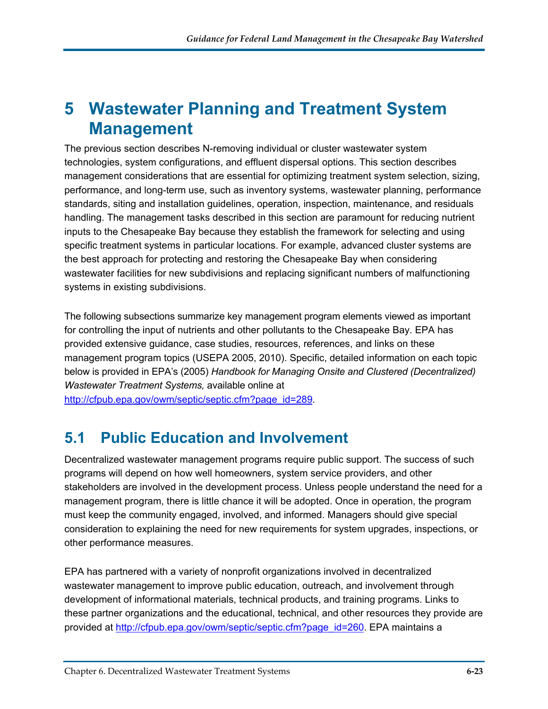# <span id="page-23-0"></span>**5 Wastewater Planning and Treatment System Management**

The previous section describes N-removing individual or cluster wastewater system technologies, system configurations, and effluent dispersal options. This section describes management considerations that are essential for optimizing treatment system selection, sizing, performance, and long-term use, such as inventory systems, wastewater planning, performance standards, siting and installation guidelines, operation, inspection, maintenance, and residuals handling. The management tasks described in this section are paramount for reducing nutrient inputs to the Chesapeake Bay because they establish the framework for selecting and using specific treatment systems in particular locations. For example, advanced cluster systems are the best approach for protecting and restoring the Chesapeake Bay when considering wastewater facilities for new subdivisions and replacing significant numbers of malfunctioning systems in existing subdivisions.

The following subsections summarize key management program elements viewed as important for controlling the input of nutrients and other pollutants to the Chesapeake Bay. EPA has provided extensive guidance, case studies, resources, references, and links on these management program topics (USEPA 2005, 2010). Specific, detailed information on each topic below is provided in EPA's (2005) *Handbook for Managing Onsite and Clustered (Decentralized) Wastewater Treatment Systems,* available online at [http://cfpub.epa.gov/owm/septic/septic.cfm?page\\_id=289](http://cfpub.epa.gov/owm/septic/septic.cfm?page_id=289).

### <span id="page-23-1"></span>**5.1 Public Education and Involvement**

Decentralized wastewater management programs require public support. The success of such programs will depend on how well homeowners, system service providers, and other stakeholders are involved in the development process. Unless people understand the need for a management program, there is little chance it will be adopted. Once in operation, the program must keep the community engaged, involved, and informed. Managers should give special consideration to explaining the need for new requirements for system upgrades, inspections, or other performance measures.

EPA has partnered with a variety of nonprofit organizations involved in decentralized wastewater management to improve public education, outreach, and involvement through development of informational materials, technical products, and training programs. Links to these partner organizations and the educational, technical, and other resources they provide are provided at [http://cfpub.epa.gov/owm/septic/septic.cfm?page\\_id=260.](http://cfpub.epa.gov/owm/septic/septic.cfm?page_id=260) EPA maintains a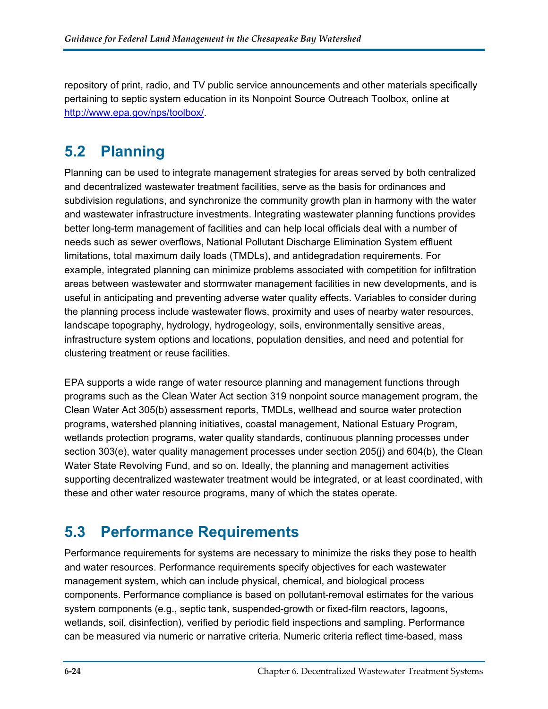repository of print, radio, and TV public service announcements and other materials specifically pertaining to septic system education in its Nonpoint Source Outreach Toolbox, online at [http://www.epa.gov/nps/toolbox/.](http://www.epa.gov/nps/toolbox/)

### <span id="page-24-0"></span>**5.2 Planning**

Planning can be used to integrate management strategies for areas served by both centralized and decentralized wastewater treatment facilities, serve as the basis for ordinances and subdivision regulations, and synchronize the community growth plan in harmony with the water and wastewater infrastructure investments. Integrating wastewater planning functions provides better long-term management of facilities and can help local officials deal with a number of needs such as sewer overflows, National Pollutant Discharge Elimination System effluent limitations, total maximum daily loads (TMDLs), and antidegradation requirements. For example, integrated planning can minimize problems associated with competition for infiltration areas between wastewater and stormwater management facilities in new developments, and is useful in anticipating and preventing adverse water quality effects. Variables to consider during the planning process include wastewater flows, proximity and uses of nearby water resources, landscape topography, hydrology, hydrogeology, soils, environmentally sensitive areas, infrastructure system options and locations, population densities, and need and potential for clustering treatment or reuse facilities.

EPA supports a wide range of water resource planning and management functions through programs such as the Clean Water Act section 319 nonpoint source management program, the Clean Water Act 305(b) assessment reports, TMDLs, wellhead and source water protection programs, watershed planning initiatives, coastal management, National Estuary Program, wetlands protection programs, water quality standards, continuous planning processes under section 303(e), water quality management processes under section 205(j) and 604(b), the Clean Water State Revolving Fund, and so on. Ideally, the planning and management activities supporting decentralized wastewater treatment would be integrated, or at least coordinated, with these and other water resource programs, many of which the states operate.

#### <span id="page-24-1"></span>**5.3 Performance Requirements**

Performance requirements for systems are necessary to minimize the risks they pose to health and water resources. Performance requirements specify objectives for each wastewater management system, which can include physical, chemical, and biological process components. Performance compliance is based on pollutant-removal estimates for the various system components (e.g., septic tank, suspended-growth or fixed-film reactors, lagoons, wetlands, soil, disinfection), verified by periodic field inspections and sampling. Performance can be measured via numeric or narrative criteria. Numeric criteria reflect time-based, mass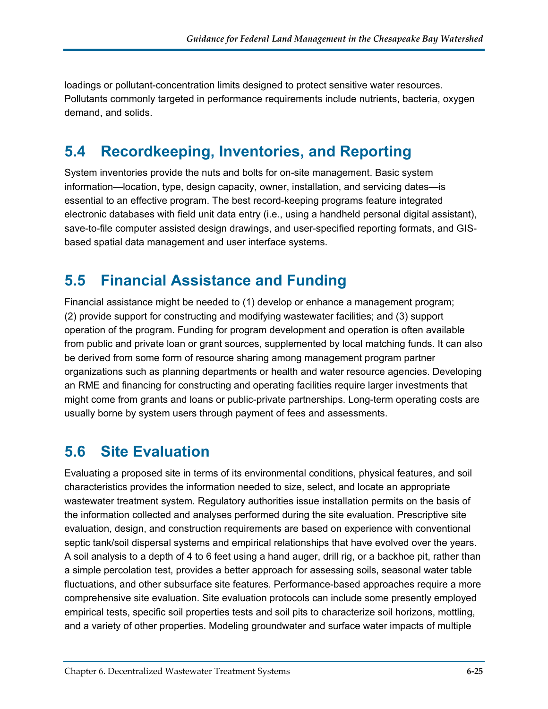loadings or pollutant-concentration limits designed to protect sensitive water resources. Pollutants commonly targeted in performance requirements include nutrients, bacteria, oxygen demand, and solids.

#### <span id="page-25-0"></span>**5.4 Recordkeeping, Inventories, and Reporting**

System inventories provide the nuts and bolts for on-site management. Basic system information—location, type, design capacity, owner, installation, and servicing dates—is essential to an effective program. The best record-keeping programs feature integrated electronic databases with field unit data entry (i.e., using a handheld personal digital assistant), save-to-file computer assisted design drawings, and user-specified reporting formats, and GISbased spatial data management and user interface systems.

#### <span id="page-25-1"></span>**5.5 Financial Assistance and Funding**

Financial assistance might be needed to (1) develop or enhance a management program; (2) provide support for constructing and modifying wastewater facilities; and (3) support operation of the program. Funding for program development and operation is often available from public and private loan or grant sources, supplemented by local matching funds. It can also be derived from some form of resource sharing among management program partner organizations such as planning departments or health and water resource agencies. Developing an RME and financing for constructing and operating facilities require larger investments that might come from grants and loans or public-private partnerships. Long-term operating costs are usually borne by system users through payment of fees and assessments.

#### <span id="page-25-2"></span>**5.6 Site Evaluation**

Evaluating a proposed site in terms of its environmental conditions, physical features, and soil characteristics provides the information needed to size, select, and locate an appropriate wastewater treatment system. Regulatory authorities issue installation permits on the basis of the information collected and analyses performed during the site evaluation. Prescriptive site evaluation, design, and construction requirements are based on experience with conventional septic tank/soil dispersal systems and empirical relationships that have evolved over the years. A soil analysis to a depth of 4 to 6 feet using a hand auger, drill rig, or a backhoe pit, rather than a simple percolation test, provides a better approach for assessing soils, seasonal water table fluctuations, and other subsurface site features. Performance-based approaches require a more comprehensive site evaluation. Site evaluation protocols can include some presently employed empirical tests, specific soil properties tests and soil pits to characterize soil horizons, mottling, and a variety of other properties. Modeling groundwater and surface water impacts of multiple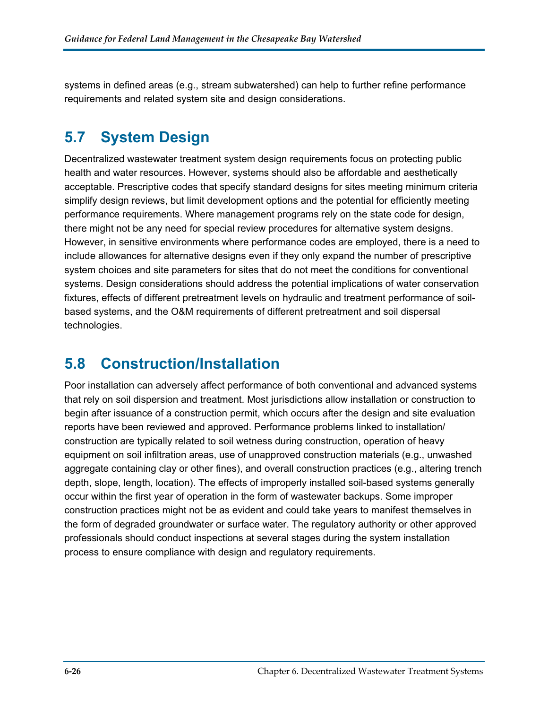systems in defined areas (e.g., stream subwatershed) can help to further refine performance requirements and related system site and design considerations.

#### <span id="page-26-0"></span>**5.7 System Design**

Decentralized wastewater treatment system design requirements focus on protecting public health and water resources. However, systems should also be affordable and aesthetically acceptable. Prescriptive codes that specify standard designs for sites meeting minimum criteria simplify design reviews, but limit development options and the potential for efficiently meeting performance requirements. Where management programs rely on the state code for design, there might not be any need for special review procedures for alternative system designs. However, in sensitive environments where performance codes are employed, there is a need to include allowances for alternative designs even if they only expand the number of prescriptive system choices and site parameters for sites that do not meet the conditions for conventional systems. Design considerations should address the potential implications of water conservation fixtures, effects of different pretreatment levels on hydraulic and treatment performance of soilbased systems, and the O&M requirements of different pretreatment and soil dispersal technologies.

#### <span id="page-26-1"></span>**5.8 Construction/Installation**

Poor installation can adversely affect performance of both conventional and advanced systems that rely on soil dispersion and treatment. Most jurisdictions allow installation or construction to begin after issuance of a construction permit, which occurs after the design and site evaluation reports have been reviewed and approved. Performance problems linked to installation/ construction are typically related to soil wetness during construction, operation of heavy equipment on soil infiltration areas, use of unapproved construction materials (e.g., unwashed aggregate containing clay or other fines), and overall construction practices (e.g., altering trench depth, slope, length, location). The effects of improperly installed soil-based systems generally occur within the first year of operation in the form of wastewater backups. Some improper construction practices might not be as evident and could take years to manifest themselves in the form of degraded groundwater or surface water. The regulatory authority or other approved professionals should conduct inspections at several stages during the system installation process to ensure compliance with design and regulatory requirements.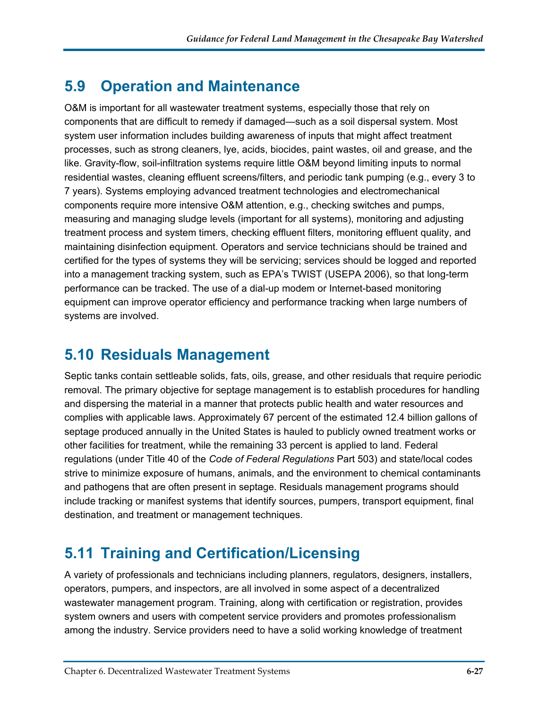# <span id="page-27-0"></span>**5.9 Operation and Maintenance**

O&M is important for all wastewater treatment systems, especially those that rely on components that are difficult to remedy if damaged—such as a soil dispersal system. Most system user information includes building awareness of inputs that might affect treatment processes, such as strong cleaners, lye, acids, biocides, paint wastes, oil and grease, and the like. Gravity-flow, soil-infiltration systems require little O&M beyond limiting inputs to normal residential wastes, cleaning effluent screens/filters, and periodic tank pumping (e.g., every 3 to 7 years). Systems employing advanced treatment technologies and electromechanical components require more intensive O&M attention, e.g., checking switches and pumps, measuring and managing sludge levels (important for all systems), monitoring and adjusting treatment process and system timers, checking effluent filters, monitoring effluent quality, and maintaining disinfection equipment. Operators and service technicians should be trained and certified for the types of systems they will be servicing; services should be logged and reported into a management tracking system, such as EPA's TWIST (USEPA 2006), so that long-term performance can be tracked. The use of a dial-up modem or Internet-based monitoring equipment can improve operator efficiency and performance tracking when large numbers of systems are involved.

#### <span id="page-27-1"></span>**5.10 Residuals Management**

Septic tanks contain settleable solids, fats, oils, grease, and other residuals that require periodic removal. The primary objective for septage management is to establish procedures for handling and dispersing the material in a manner that protects public health and water resources and complies with applicable laws. Approximately 67 percent of the estimated 12.4 billion gallons of septage produced annually in the United States is hauled to publicly owned treatment works or other facilities for treatment, while the remaining 33 percent is applied to land. Federal regulations (under Title 40 of the *Code of Federal Regulations* Part 503) and state/local codes strive to minimize exposure of humans, animals, and the environment to chemical contaminants and pathogens that are often present in septage. Residuals management programs should include tracking or manifest systems that identify sources, pumpers, transport equipment, final destination, and treatment or management techniques.

### <span id="page-27-2"></span>**5.11 Training and Certification/Licensing**

A variety of professionals and technicians including planners, regulators, designers, installers, operators, pumpers, and inspectors, are all involved in some aspect of a decentralized wastewater management program. Training, along with certification or registration, provides system owners and users with competent service providers and promotes professionalism among the industry. Service providers need to have a solid working knowledge of treatment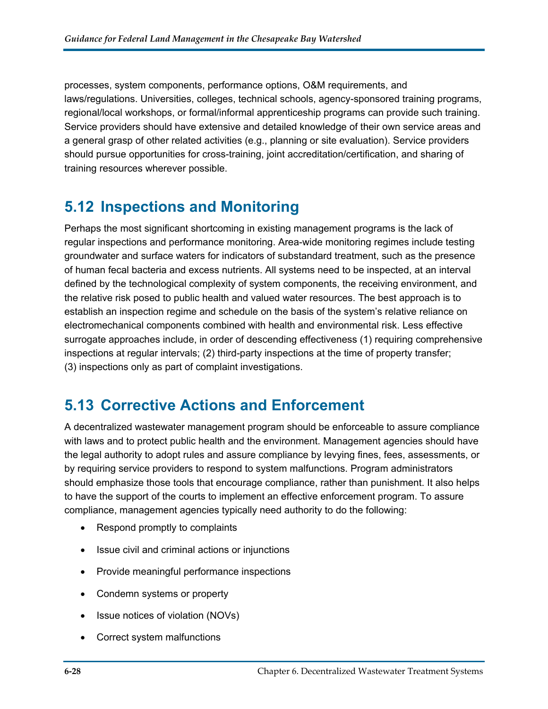processes, system components, performance options, O&M requirements, and laws/regulations. Universities, colleges, technical schools, agency-sponsored training programs, regional/local workshops, or formal/informal apprenticeship programs can provide such training. Service providers should have extensive and detailed knowledge of their own service areas and a general grasp of other related activities (e.g., planning or site evaluation). Service providers should pursue opportunities for cross-training, joint accreditation/certification, and sharing of training resources wherever possible.

#### <span id="page-28-0"></span>**5.12 Inspections and Monitoring**

Perhaps the most significant shortcoming in existing management programs is the lack of regular inspections and performance monitoring. Area-wide monitoring regimes include testing groundwater and surface waters for indicators of substandard treatment, such as the presence of human fecal bacteria and excess nutrients. All systems need to be inspected, at an interval defined by the technological complexity of system components, the receiving environment, and the relative risk posed to public health and valued water resources. The best approach is to establish an inspection regime and schedule on the basis of the system's relative reliance on electromechanical components combined with health and environmental risk. Less effective surrogate approaches include, in order of descending effectiveness (1) requiring comprehensive inspections at regular intervals; (2) third-party inspections at the time of property transfer; (3) inspections only as part of complaint investigations.

#### <span id="page-28-1"></span>**5.13 Corrective Actions and Enforcement**

A decentralized wastewater management program should be enforceable to assure compliance with laws and to protect public health and the environment. Management agencies should have the legal authority to adopt rules and assure compliance by levying fines, fees, assessments, or by requiring service providers to respond to system malfunctions. Program administrators should emphasize those tools that encourage compliance, rather than punishment. It also helps to have the support of the courts to implement an effective enforcement program. To assure compliance, management agencies typically need authority to do the following:

- Respond promptly to complaints
- Issue civil and criminal actions or injunctions
- Provide meaningful performance inspections
- Condemn systems or property
- Issue notices of violation (NOVs)
- Correct system malfunctions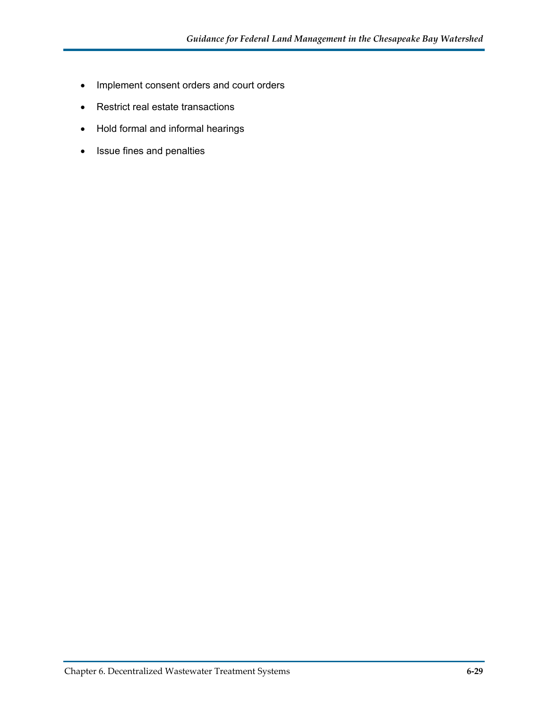- Implement consent orders and court orders
- Restrict real estate transactions
- Hold formal and informal hearings
- Issue fines and penalties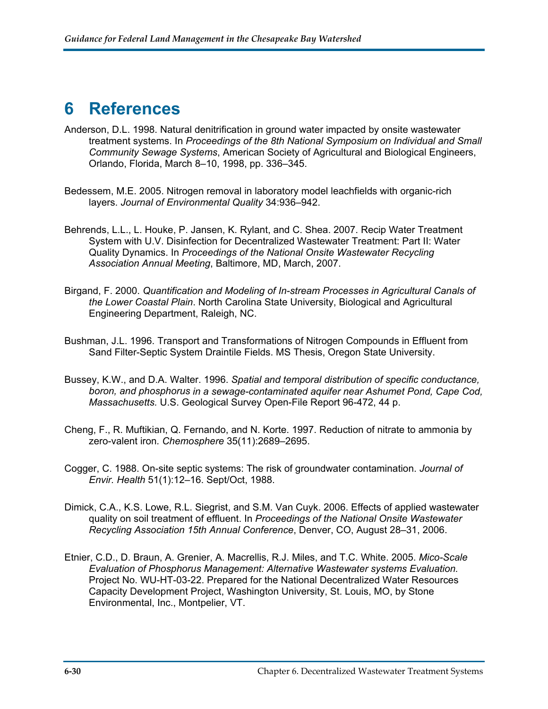# <span id="page-30-0"></span>**6 References**

- Anderson, D.L. 1998. Natural denitrification in ground water impacted by onsite wastewater treatment systems. In *Proceedings of the 8th National Symposium on Individual and Small Community Sewage Systems*, American Society of Agricultural and Biological Engineers, Orlando, Florida, March 8–10, 1998, pp. 336–345.
- Bedessem, M.E. 2005. Nitrogen removal in laboratory model leachfields with organic-rich layers. *Journal of Environmental Quality* 34:936–942.
- Behrends, L.L., L. Houke, P. Jansen, K. Rylant, and C. Shea. 2007. Recip Water Treatment System with U.V. Disinfection for Decentralized Wastewater Treatment: Part II: Water Quality Dynamics. In *Proceedings of the National Onsite Wastewater Recycling Association Annual Meeting*, Baltimore, MD, March, 2007.
- Birgand, F. 2000. *Quantification and Modeling of In-stream Processes in Agricultural Canals of the Lower Coastal Plain*. North Carolina State University, Biological and Agricultural Engineering Department, Raleigh, NC.
- Bushman, J.L. 1996. Transport and Transformations of Nitrogen Compounds in Effluent from Sand Filter-Septic System Draintile Fields. MS Thesis, Oregon State University.
- Bussey, K.W., and D.A. Walter. 1996. *[Spatial and temporal distribution of specific conductance,](http://pubs.er.usgs.gov/ofr/ofr96472)  [boron, and phosphorus in a sewage-contaminated aquifer near Ashumet Pond, Cape Cod,](http://pubs.er.usgs.gov/ofr/ofr96472)  [Massachusetts.](http://pubs.er.usgs.gov/ofr/ofr96472)* U.S. Geological Survey Open-File Report 96-472, 44 p.
- Cheng, F., R. Muftikian, Q. Fernando, and N. Korte. 1997. Reduction of nitrate to ammonia by zero-valent iron*. [Chemosphere](http://www.sciencedirect.com/science/journal/00456535)* [35\(11\)](http://www.sciencedirect.com/science?_ob=PublicationURL&_tockey=%23TOC%235832%231997%23999649988%2315518%23FLP%23&_cdi=5832&_pubType=J&view=c&_auth=y&_acct=C000050221&_version=1&_urlVersion=0&_userid=10&md5=7363d6595ea1b493714c2c973b4b07b5):2689–2695.
- Cogger, C. 1988. On-site septic systems: The risk of groundwater contamination. *Journal of Envir. Health* 51(1):12–16. Sept/Oct, 1988.
- Dimick, C.A., K.S. Lowe, R.L. Siegrist, and S.M. Van Cuyk. 2006. Effects of applied wastewater quality on soil treatment of effluent. In *Proceedings of the National Onsite Wastewater Recycling Association 15th Annual Conference*, Denver, CO, August 28–31, 2006.
- Etnier, C.D., D. Braun, A. Grenier, A. Macrellis, R.J. Miles, and T.C. White. 2005. *Mico-Scale Evaluation of Phosphorus Management: Alternative Wastewater systems Evaluation.*  Project No. WU-HT-03-22. Prepared for the National Decentralized Water Resources Capacity Development Project, Washington University, St. Louis, MO, by Stone Environmental, Inc., Montpelier, VT.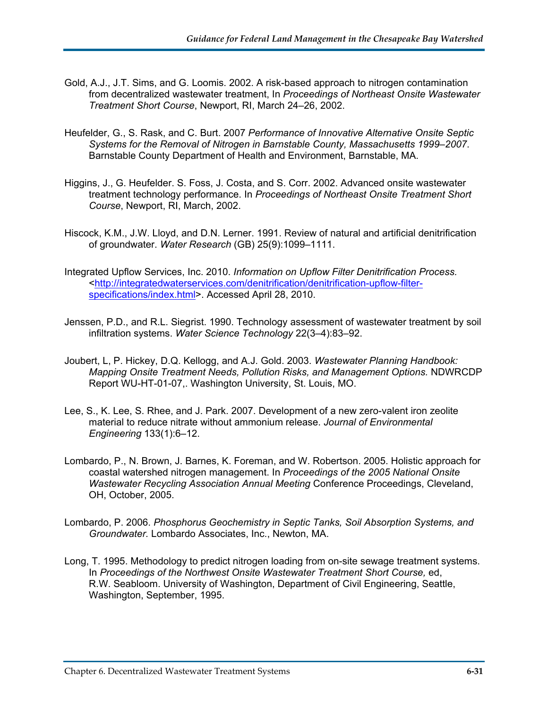- Gold, A.J., J.T. Sims, and G. Loomis. 2002. A risk-based approach to nitrogen contamination from decentralized wastewater treatment, In *Proceedings of Northeast Onsite Wastewater Treatment Short Course*, Newport, RI, March 24–26, 2002.
- Heufelder, G., S. Rask, and C. Burt. 2007 *Performance of Innovative Alternative Onsite Septic Systems for the Removal of Nitrogen in Barnstable County, Massachusetts 1999*–*2007*. Barnstable County Department of Health and Environment, Barnstable, MA.
- Higgins, J., G. Heufelder. S. Foss, J. Costa, and S. Corr. 2002. Advanced onsite wastewater treatment technology performance. In *Proceedings of Northeast Onsite Treatment Short Course*, Newport, RI, March, 2002.
- Hiscock, K.M., J.W. Lloyd, and D.N. Lerner. 1991. Review of natural and artificial denitrification of groundwater. *Water Research* (GB) 25(9):1099–1111.
- Integrated Upflow Services, Inc. 2010. *Information on Upflow Filter Denitrification Process.*  <[http://integratedwaterservices.com/denitrification/denitrification-upflow-filter](http://integratedwaterservices.com/denitrification/denitrification-upflow-filter-specifications/index.html)[specifications/index.html>](http://integratedwaterservices.com/denitrification/denitrification-upflow-filter-specifications/index.html). Accessed April 28, 2010.
- Jenssen, P.D., and R.L. Siegrist. 1990. Technology assessment of wastewater treatment by soil infiltration systems. *Water Science Technology* 22(3–4):83–92.
- Joubert, L, P. Hickey, D.Q. Kellogg, and A.J. Gold. 2003. *Wastewater Planning Handbook: Mapping Onsite Treatment Needs, Pollution Risks, and Management Options.* NDWRCDP Report WU-HT-01-07,. Washington University, St. Louis, MO.
- Lee, S., K. Lee, S. Rhee, and J. Park. 2007. Development of a new zero-valent iron zeolite material to reduce nitrate without ammonium release. *[Journal of Environmental](http://cedb.asce.org/cgi/WWWdisplay.cgi?168569)  [Engineering](http://cedb.asce.org/cgi/WWWdisplay.cgi?168569)* 133(1):6–12.
- Lombardo, P., N. Brown, J. Barnes, K. Foreman, and W. Robertson. 2005. Holistic approach for coastal watershed nitrogen management. In *Proceedings of the 2005 National Onsite Wastewater Recycling Association Annual Meeting* Conference Proceedings, Cleveland, OH, October, 2005.
- Lombardo, P. 2006. *Phosphorus Geochemistry in Septic Tanks, Soil Absorption Systems, and Groundwater.* Lombardo Associates, Inc., Newton, MA.
- Long, T. 1995. Methodology to predict nitrogen loading from on-site sewage treatment systems. In *Proceedings of the Northwest Onsite Wastewater Treatment Short Course,* ed, R.W. Seabloom. University of Washington, Department of Civil Engineering, Seattle, Washington, September, 1995.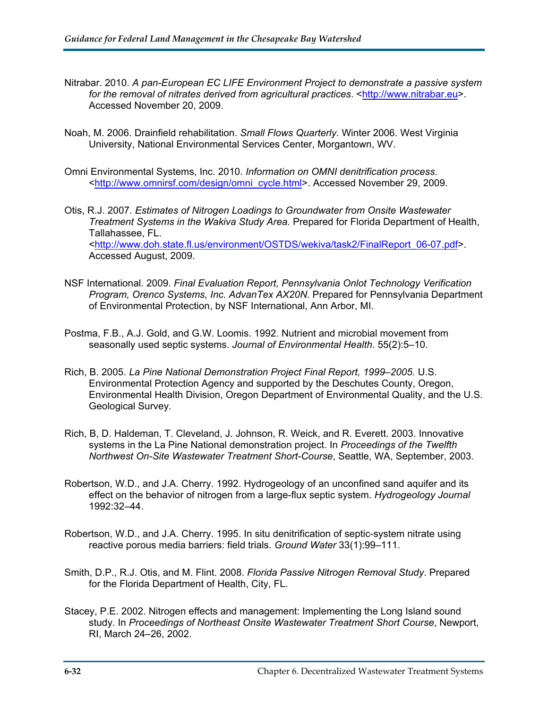- Nitrabar. 2010. *A pan-European EC LIFE Environment Project to demonstrate a passive system for the removal of nitrates derived from agricultural practices*. <[http://www.nitrabar.eu>](http://www.nitrabar.eu/). Accessed November 20, 2009.
- Noah, M. 2006. Drainfield rehabilitation. *Small Flows Quarterly*. Winter 2006. West Virginia University, National Environmental Services Center, Morgantown, WV.
- Omni Environmental Systems, Inc. 2010. *Information on OMNI denitrification process*. <[http://www.omnirsf.com/design/omni\\_cycle.html](http://www.omnirsf.com/design/omni_cycle.html)>. Accessed November 29, 2009.
- Otis, R.J. 2007. *Estimates of Nitrogen Loadings to Groundwater from Onsite Wastewater Treatment Systems in the Wakiva Study Area.* Prepared for Florida Department of Health, Tallahassee, FL. <[http://www.doh.state.fl.us/environment/OSTDS/wekiva/task2/FinalReport\\_06-07.pdf>](http://www.doh.state.fl.us/environment/OSTDS/wekiva/task2/FinalReport_06-07.pdf). Accessed August, 2009.
- NSF International. 2009. *Final Evaluation Report, Pennsylvania Onlot Technology Verification Program, Orenco Systems, Inc. AdvanTex AX20N.* Prepared for Pennsylvania Department of Environmental Protection, by NSF International, Ann Arbor, MI.
- Postma, F.B., A.J. Gold, and G.W. Loomis. 1992. Nutrient and microbial movement from seasonally used septic systems. *Journal of Environmental Health*. 55(2):5–10.
- Rich, B. 2005. *La Pine National Demonstration Project Final Report, 1999–2005.* U.S. Environmental Protection Agency and supported by the Deschutes County, Oregon, Environmental Health Division, Oregon Department of Environmental Quality, and the U.S. Geological Survey.
- Rich, B, D. Haldeman, T. Cleveland, J. Johnson, R. Weick, and R. Everett. 2003. Innovative systems in the La Pine National demonstration project. In *Proceedings of the Twelfth Northwest On-Site Wastewater Treatment Short-Course*, Seattle, WA, September, 2003.
- Robertson, W.D., and J.A. Cherry. 1992. Hydrogeology of an unconfined sand aquifer and its effect on the behavior of nitrogen from a large-flux septic system. *Hydrogeology Journal* 1992:32–44.
- Robertson, W.D., and J.A. Cherry. 1995. In situ denitrification of septic-system nitrate using reactive porous media barriers: field trials. *Ground Water* 33(1):99–111.
- Smith, D.P., R.J. Otis, and M. Flint. 2008. *Florida Passive Nitrogen Removal Study*. Prepared for the Florida Department of Health, City, FL.
- Stacey, P.E. 2002. Nitrogen effects and management: Implementing the Long Island sound study. In *Proceedings of Northeast Onsite Wastewater Treatment Short Course*, Newport, RI, March 24–26, 2002.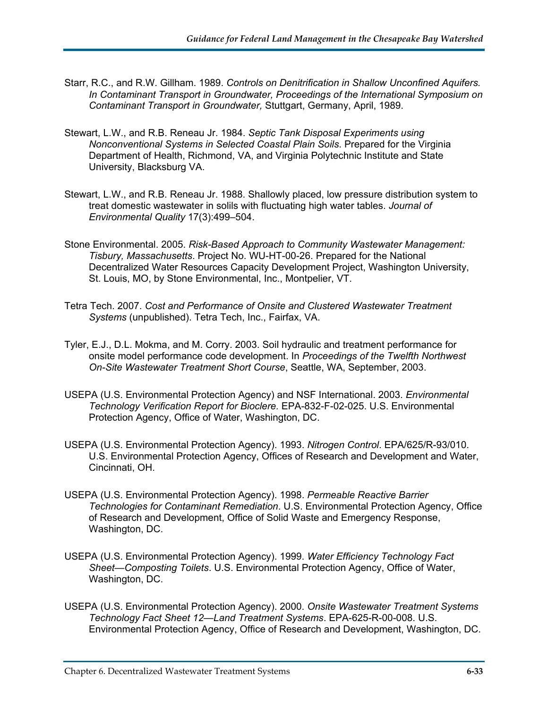- Starr, R.C., and R.W. Gillham. 1989. *Controls on Denitrification in Shallow Unconfined Aquifers. In Contaminant Transport in Groundwater, Proceedings of the International Symposium on Contaminant Transport in Groundwater,* Stuttgart, Germany, April, 1989.
- Stewart, L.W., and R.B. Reneau Jr. 1984. *Septic Tank Disposal Experiments using Nonconventional Systems in Selected Coastal Plain Soils*. Prepared for the Virginia Department of Health, Richmond, VA, and Virginia Polytechnic Institute and State University, Blacksburg VA.
- Stewart, L.W., and R.B. Reneau Jr. 1988. Shallowly placed, low pressure distribution system to treat domestic wastewater in solils with fluctuating high water tables. *Journal of Environmental Quality* 17(3):499–504.
- Stone Environmental. 2005. *Risk-Based Approach to Community Wastewater Management: Tisbury, Massachusetts*. Project No. WU-HT-00-26. Prepared for the National Decentralized Water Resources Capacity Development Project, Washington University, St. Louis, MO, by Stone Environmental, Inc., Montpelier, VT.
- Tetra Tech. 2007. *Cost and Performance of Onsite and Clustered Wastewater Treatment Systems* (unpublished). Tetra Tech, Inc., Fairfax, VA.
- Tyler, E.J., D.L. Mokma, and M. Corry. 2003. Soil hydraulic and treatment performance for onsite model performance code development. In *Proceedings of the Twelfth Northwest On-Site Wastewater Treatment Short Course*, Seattle, WA, September, 2003.
- USEPA (U.S. Environmental Protection Agency) and NSF International. 2003. *Environmental Technology Verification Report for Bioclere.* EPA-832-F-02-025. U.S. Environmental Protection Agency, Office of Water, Washington, DC.
- USEPA (U.S. Environmental Protection Agency). 1993. *Nitrogen Control*. EPA/625/R-93/010. U.S. Environmental Protection Agency, Offices of Research and Development and Water, Cincinnati, OH.
- USEPA (U.S. Environmental Protection Agency). 1998. *Permeable Reactive Barrier Technologies for Contaminant Remediation*. U.S. Environmental Protection Agency, Office of Research and Development, Office of Solid Waste and Emergency Response, Washington, DC.
- USEPA (U.S. Environmental Protection Agency). 1999. *Water Efficiency Technology Fact Sheet—Composting Toilets*. U.S. Environmental Protection Agency, Office of Water, Washington, DC.
- USEPA (U.S. Environmental Protection Agency). 2000. *Onsite Wastewater Treatment Systems Technology Fact Sheet 12—Land Treatment Systems*. EPA-625-R-00-008. U.S. Environmental Protection Agency, Office of Research and Development, Washington, DC.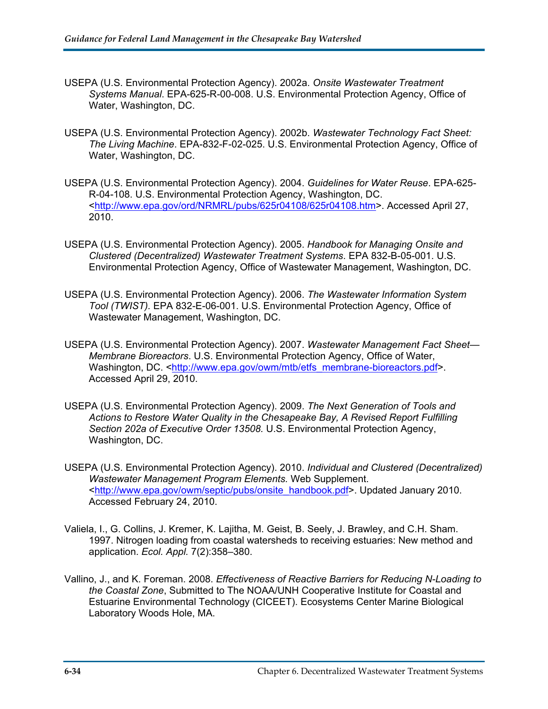- USEPA (U.S. Environmental Protection Agency). 2002a. *Onsite Wastewater Treatment Systems Manual*. EPA-625-R-00-008. U.S. Environmental Protection Agency, Office of Water, Washington, DC.
- USEPA (U.S. Environmental Protection Agency). 2002b. *Wastewater Technology Fact Sheet: The Living Machine*. EPA-832-F-02-025. U.S. Environmental Protection Agency, Office of Water, Washington, DC.
- USEPA (U.S. Environmental Protection Agency). 2004. *Guidelines for Water Reuse*. EPA-625- R-04-108. U.S. Environmental Protection Agency, Washington, DC. <<http://www.epa.gov/ord/NRMRL/pubs/625r04108/625r04108.htm>>. Accessed April 27, 2010.
- USEPA (U.S. Environmental Protection Agency). 2005. *Handbook for Managing Onsite and Clustered (Decentralized) Wastewater Treatment Systems*. EPA 832-B-05-001. U.S. Environmental Protection Agency, Office of Wastewater Management, Washington, DC.
- USEPA (U.S. Environmental Protection Agency). 2006. *The Wastewater Information System Tool (TWIST).* EPA 832-E-06-001. U.S. Environmental Protection Agency, Office of Wastewater Management, Washington, DC.
- USEPA (U.S. Environmental Protection Agency). 2007. *Wastewater Management Fact Sheet— Membrane Bioreactors*. U.S. Environmental Protection Agency, Office of Water, Washington, DC. <[http://www.epa.gov/owm/mtb/etfs\\_membrane-bioreactors.pdf](http://www.epa.gov/owm/mtb/etfs_membrane-bioreactors.pdf)>. Accessed April 29, 2010.
- USEPA (U.S. Environmental Protection Agency). 2009. *The Next Generation of Tools and Actions to Restore Water Quality in the Chesapeake Bay, A Revised Report Fulfilling Section 202a of Executive Order 13508.* U.S. Environmental Protection Agency, Washington, DC.
- USEPA (U.S. Environmental Protection Agency). 2010. *Individual and Clustered (Decentralized) Wastewater Management Program Elements.* Web Supplement. <[http://www.epa.gov/owm/septic/pubs/onsite\\_handbook.pdf>](http://www.epa.gov/owm/septic/pubs/onsite_handbook.pdf). Updated January 2010. Accessed February 24, 2010.
- Valiela, I., G. Collins, J. Kremer, K. Lajitha, M. Geist, B. Seely, J. Brawley, and C.H. Sham. 1997. Nitrogen loading from coastal watersheds to receiving estuaries: New method and application. *Ecol. Appl.* 7(2):358–380.
- Vallino, J., and K. Foreman. 2008. *Effectiveness of Reactive Barriers for Reducing N-Loading to the Coastal Zone*, Submitted to The NOAA/UNH Cooperative Institute for Coastal and Estuarine Environmental Technology (CICEET). Ecosystems Center Marine Biological Laboratory Woods Hole, MA.